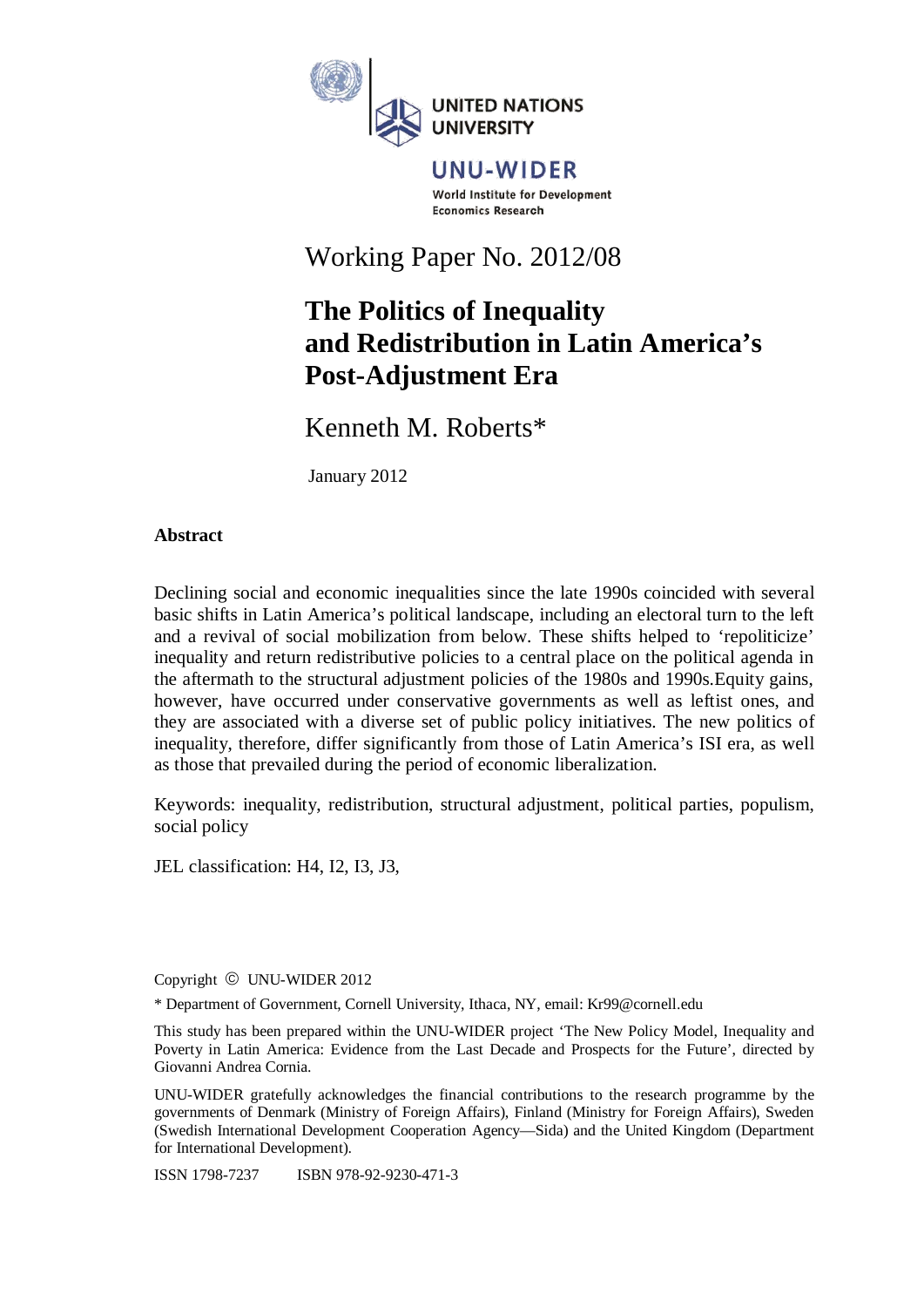

**UNU-WIDER** World Institute for Development **Economics Research** 

Working Paper No. 2012/08

# **The Politics of Inequality and Redistribution in Latin America's Post-Adjustment Era**

Kenneth M. Roberts\*

January 2012

## **Abstract**

Declining social and economic inequalities since the late 1990s coincided with several basic shifts in Latin America's political landscape, including an electoral turn to the left and a revival of social mobilization from below. These shifts helped to 'repoliticize' inequality and return redistributive policies to a central place on the political agenda in the aftermath to the structural adjustment policies of the 1980s and 1990s.Equity gains, however, have occurred under conservative governments as well as leftist ones, and they are associated with a diverse set of public policy initiatives. The new politics of inequality, therefore, differ significantly from those of Latin America's ISI era, as well as those that prevailed during the period of economic liberalization.

Keywords: inequality, redistribution, structural adjustment, political parties, populism, social policy

JEL classification: H4, I2, I3, J3,

Copyright © UNU-WIDER 2012

\* Department of Government, Cornell University, Ithaca, NY, email: Kr99@cornell.edu

This study has been prepared within the UNU-WIDER project 'The New Policy Model, Inequality and Poverty in Latin America: Evidence from the Last Decade and Prospects for the Future', directed by Giovanni Andrea Cornia.

UNU-WIDER gratefully acknowledges the financial contributions to the research programme by the governments of Denmark (Ministry of Foreign Affairs), Finland (Ministry for Foreign Affairs), Sweden (Swedish International Development Cooperation Agency—Sida) and the United Kingdom (Department for International Development).

ISSN 1798-7237 ISBN 978-92-9230-471-3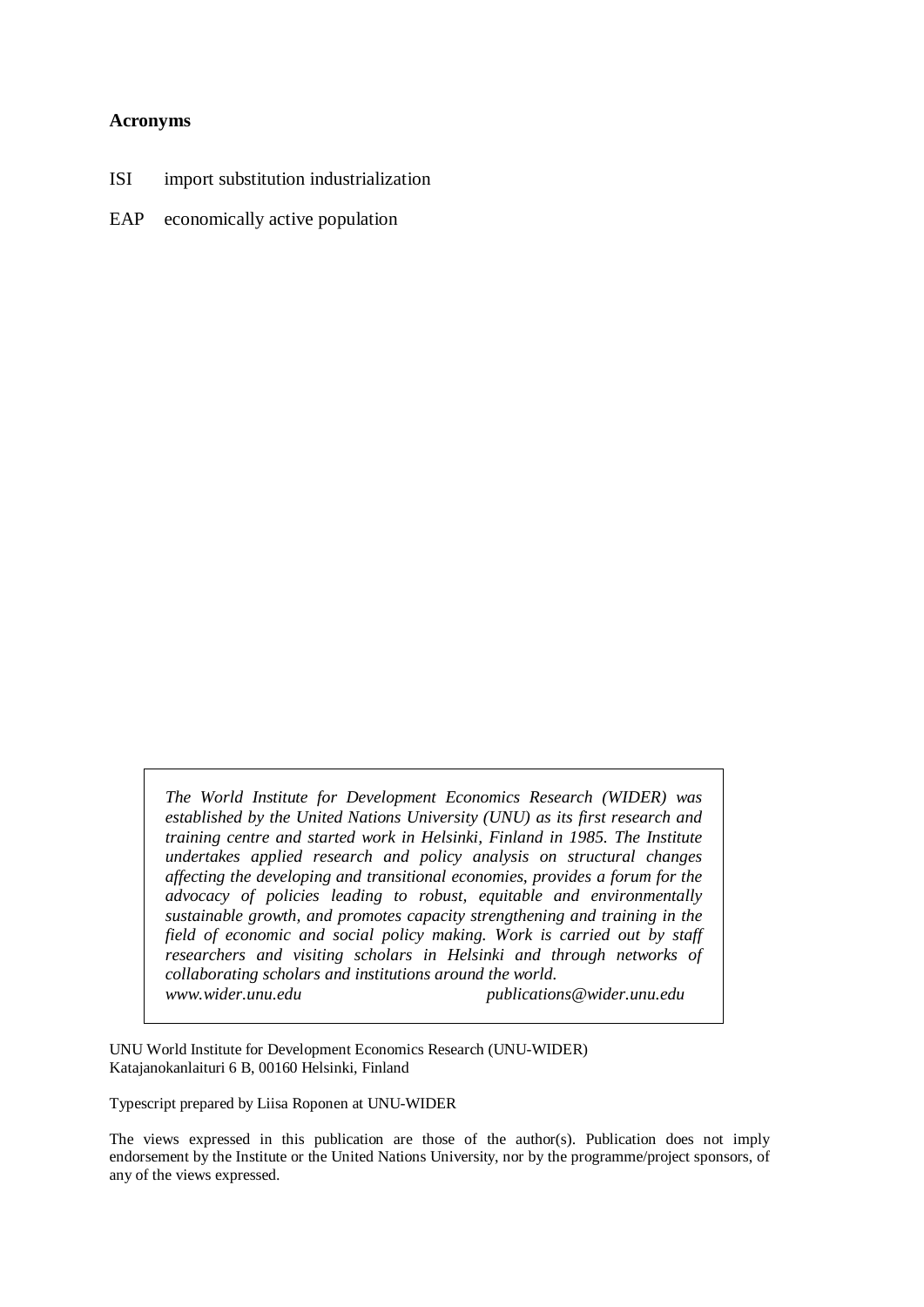#### **Acronyms**

- ISI import substitution industrialization
- EAP economically active population

*The World Institute for Development Economics Research (WIDER) was established by the United Nations University (UNU) as its first research and training centre and started work in Helsinki, Finland in 1985. The Institute undertakes applied research and policy analysis on structural changes affecting the developing and transitional economies, provides a forum for the advocacy of policies leading to robust, equitable and environmentally sustainable growth, and promotes capacity strengthening and training in the field of economic and social policy making. Work is carried out by staff researchers and visiting scholars in Helsinki and through networks of collaborating scholars and institutions around the world. www.wider.unu.edu publications@wider.unu.edu* 

UNU World Institute for Development Economics Research (UNU-WIDER) Katajanokanlaituri 6 B, 00160 Helsinki, Finland

Typescript prepared by Liisa Roponen at UNU-WIDER

The views expressed in this publication are those of the author(s). Publication does not imply endorsement by the Institute or the United Nations University, nor by the programme/project sponsors, of any of the views expressed.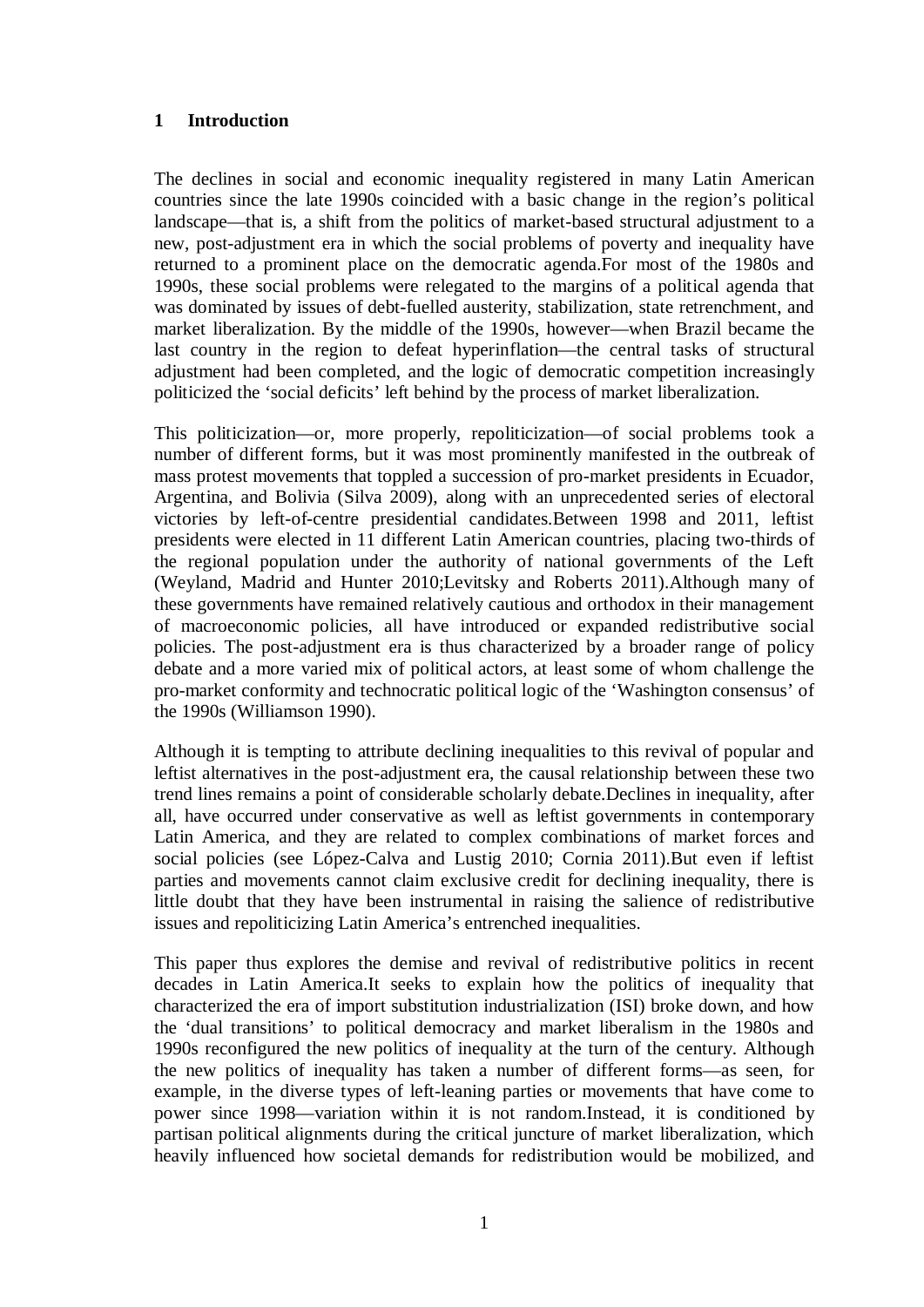## **1 Introduction**

The declines in social and economic inequality registered in many Latin American countries since the late 1990s coincided with a basic change in the region's political landscape—that is, a shift from the politics of market-based structural adjustment to a new, post-adjustment era in which the social problems of poverty and inequality have returned to a prominent place on the democratic agenda.For most of the 1980s and 1990s, these social problems were relegated to the margins of a political agenda that was dominated by issues of debt-fuelled austerity, stabilization, state retrenchment, and market liberalization. By the middle of the 1990s, however—when Brazil became the last country in the region to defeat hyperinflation—the central tasks of structural adjustment had been completed, and the logic of democratic competition increasingly politicized the 'social deficits' left behind by the process of market liberalization.

This politicization—or, more properly, repoliticization—of social problems took a number of different forms, but it was most prominently manifested in the outbreak of mass protest movements that toppled a succession of pro-market presidents in Ecuador, Argentina, and Bolivia (Silva 2009), along with an unprecedented series of electoral victories by left-of-centre presidential candidates.Between 1998 and 2011, leftist presidents were elected in 11 different Latin American countries, placing two-thirds of the regional population under the authority of national governments of the Left (Weyland, Madrid and Hunter 2010;Levitsky and Roberts 2011).Although many of these governments have remained relatively cautious and orthodox in their management of macroeconomic policies, all have introduced or expanded redistributive social policies. The post-adjustment era is thus characterized by a broader range of policy debate and a more varied mix of political actors, at least some of whom challenge the pro-market conformity and technocratic political logic of the 'Washington consensus' of the 1990s (Williamson 1990).

Although it is tempting to attribute declining inequalities to this revival of popular and leftist alternatives in the post-adjustment era, the causal relationship between these two trend lines remains a point of considerable scholarly debate.Declines in inequality, after all, have occurred under conservative as well as leftist governments in contemporary Latin America, and they are related to complex combinations of market forces and social policies (see López-Calva and Lustig 2010; Cornia 2011).But even if leftist parties and movements cannot claim exclusive credit for declining inequality, there is little doubt that they have been instrumental in raising the salience of redistributive issues and repoliticizing Latin America's entrenched inequalities.

This paper thus explores the demise and revival of redistributive politics in recent decades in Latin America.It seeks to explain how the politics of inequality that characterized the era of import substitution industrialization (ISI) broke down, and how the 'dual transitions' to political democracy and market liberalism in the 1980s and 1990s reconfigured the new politics of inequality at the turn of the century. Although the new politics of inequality has taken a number of different forms—as seen, for example, in the diverse types of left-leaning parties or movements that have come to power since 1998—variation within it is not random.Instead, it is conditioned by partisan political alignments during the critical juncture of market liberalization, which heavily influenced how societal demands for redistribution would be mobilized, and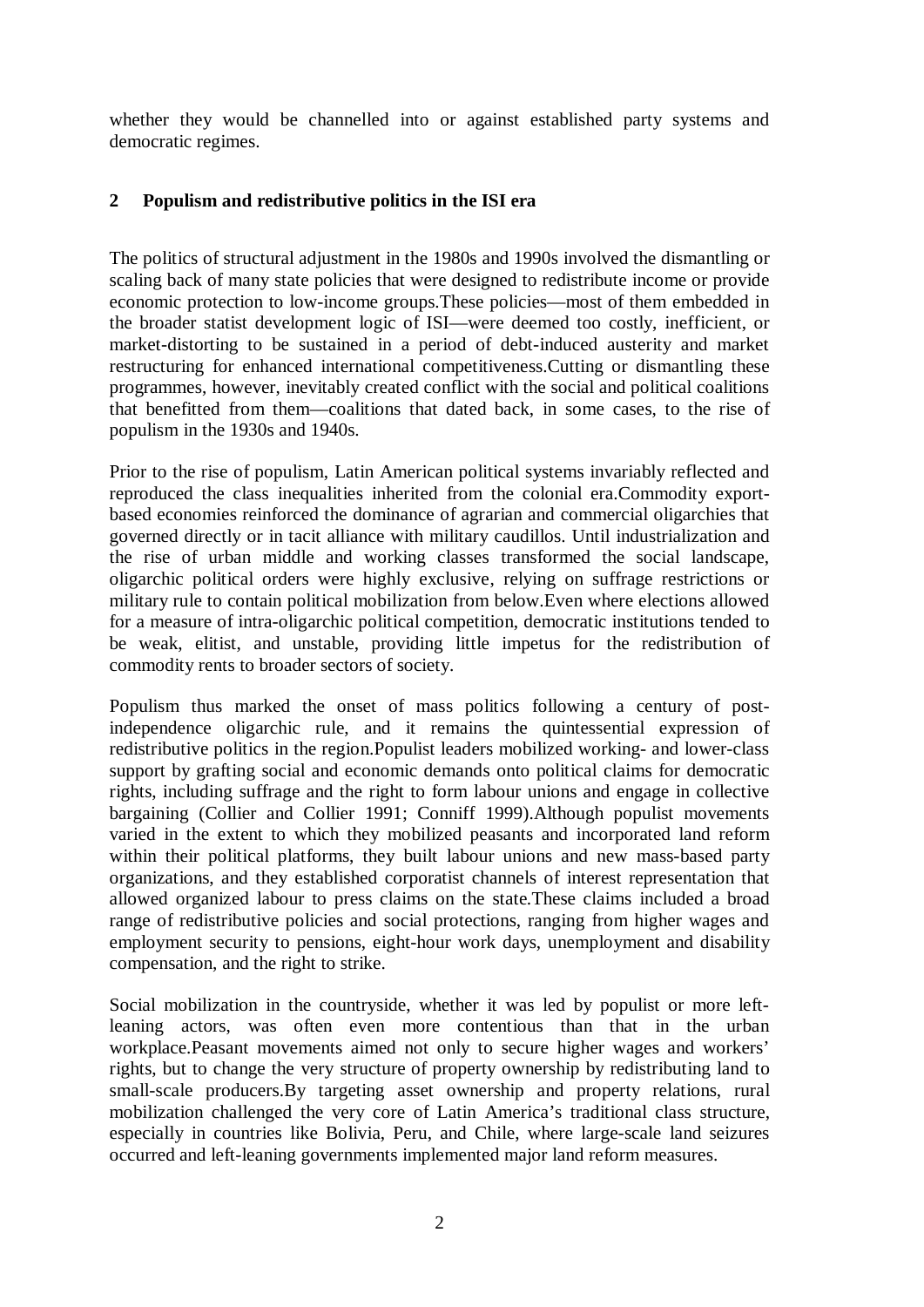whether they would be channelled into or against established party systems and democratic regimes.

# **2 Populism and redistributive politics in the ISI era**

The politics of structural adjustment in the 1980s and 1990s involved the dismantling or scaling back of many state policies that were designed to redistribute income or provide economic protection to low-income groups.These policies—most of them embedded in the broader statist development logic of ISI—were deemed too costly, inefficient, or market-distorting to be sustained in a period of debt-induced austerity and market restructuring for enhanced international competitiveness.Cutting or dismantling these programmes, however, inevitably created conflict with the social and political coalitions that benefitted from them––coalitions that dated back, in some cases, to the rise of populism in the 1930s and 1940s.

Prior to the rise of populism, Latin American political systems invariably reflected and reproduced the class inequalities inherited from the colonial era.Commodity exportbased economies reinforced the dominance of agrarian and commercial oligarchies that governed directly or in tacit alliance with military caudillos. Until industrialization and the rise of urban middle and working classes transformed the social landscape, oligarchic political orders were highly exclusive, relying on suffrage restrictions or military rule to contain political mobilization from below.Even where elections allowed for a measure of intra-oligarchic political competition, democratic institutions tended to be weak, elitist, and unstable, providing little impetus for the redistribution of commodity rents to broader sectors of society.

Populism thus marked the onset of mass politics following a century of postindependence oligarchic rule, and it remains the quintessential expression of redistributive politics in the region.Populist leaders mobilized working- and lower-class support by grafting social and economic demands onto political claims for democratic rights, including suffrage and the right to form labour unions and engage in collective bargaining (Collier and Collier 1991; Conniff 1999).Although populist movements varied in the extent to which they mobilized peasants and incorporated land reform within their political platforms, they built labour unions and new mass-based party organizations, and they established corporatist channels of interest representation that allowed organized labour to press claims on the state.These claims included a broad range of redistributive policies and social protections, ranging from higher wages and employment security to pensions, eight-hour work days, unemployment and disability compensation, and the right to strike.

Social mobilization in the countryside, whether it was led by populist or more leftleaning actors, was often even more contentious than that in the urban workplace.Peasant movements aimed not only to secure higher wages and workers' rights, but to change the very structure of property ownership by redistributing land to small-scale producers.By targeting asset ownership and property relations, rural mobilization challenged the very core of Latin America's traditional class structure, especially in countries like Bolivia, Peru, and Chile, where large-scale land seizures occurred and left-leaning governments implemented major land reform measures.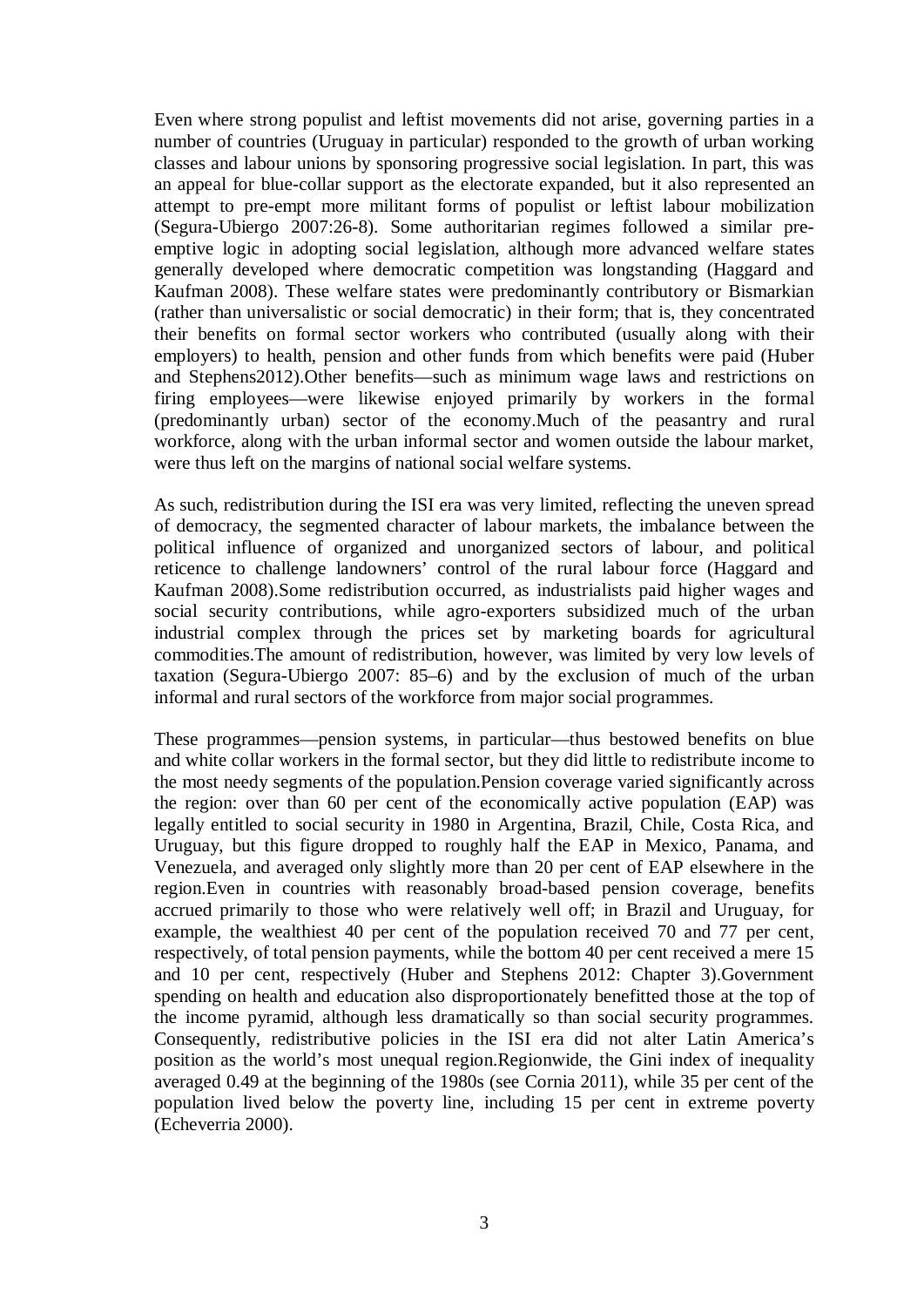Even where strong populist and leftist movements did not arise, governing parties in a number of countries (Uruguay in particular) responded to the growth of urban working classes and labour unions by sponsoring progressive social legislation. In part, this was an appeal for blue-collar support as the electorate expanded, but it also represented an attempt to pre-empt more militant forms of populist or leftist labour mobilization (Segura-Ubiergo 2007:26-8). Some authoritarian regimes followed a similar preemptive logic in adopting social legislation, although more advanced welfare states generally developed where democratic competition was longstanding (Haggard and Kaufman 2008). These welfare states were predominantly contributory or Bismarkian (rather than universalistic or social democratic) in their form; that is, they concentrated their benefits on formal sector workers who contributed (usually along with their employers) to health, pension and other funds from which benefits were paid (Huber and Stephens2012).Other benefits—such as minimum wage laws and restrictions on firing employees—were likewise enjoyed primarily by workers in the formal (predominantly urban) sector of the economy.Much of the peasantry and rural workforce, along with the urban informal sector and women outside the labour market, were thus left on the margins of national social welfare systems.

As such, redistribution during the ISI era was very limited, reflecting the uneven spread of democracy, the segmented character of labour markets, the imbalance between the political influence of organized and unorganized sectors of labour, and political reticence to challenge landowners' control of the rural labour force (Haggard and Kaufman 2008).Some redistribution occurred, as industrialists paid higher wages and social security contributions, while agro-exporters subsidized much of the urban industrial complex through the prices set by marketing boards for agricultural commodities.The amount of redistribution, however, was limited by very low levels of taxation (Segura-Ubiergo 2007: 85–6) and by the exclusion of much of the urban informal and rural sectors of the workforce from major social programmes.

These programmes—pension systems, in particular—thus bestowed benefits on blue and white collar workers in the formal sector, but they did little to redistribute income to the most needy segments of the population.Pension coverage varied significantly across the region: over than 60 per cent of the economically active population (EAP) was legally entitled to social security in 1980 in Argentina, Brazil, Chile, Costa Rica, and Uruguay, but this figure dropped to roughly half the EAP in Mexico, Panama, and Venezuela, and averaged only slightly more than 20 per cent of EAP elsewhere in the region.Even in countries with reasonably broad-based pension coverage, benefits accrued primarily to those who were relatively well off; in Brazil and Uruguay, for example, the wealthiest 40 per cent of the population received 70 and 77 per cent, respectively, of total pension payments, while the bottom 40 per cent received a mere 15 and 10 per cent, respectively (Huber and Stephens 2012: Chapter 3).Government spending on health and education also disproportionately benefitted those at the top of the income pyramid, although less dramatically so than social security programmes. Consequently, redistributive policies in the ISI era did not alter Latin America's position as the world's most unequal region.Regionwide, the Gini index of inequality averaged 0.49 at the beginning of the 1980s (see Cornia 2011), while 35 per cent of the population lived below the poverty line, including 15 per cent in extreme poverty (Echeverria 2000).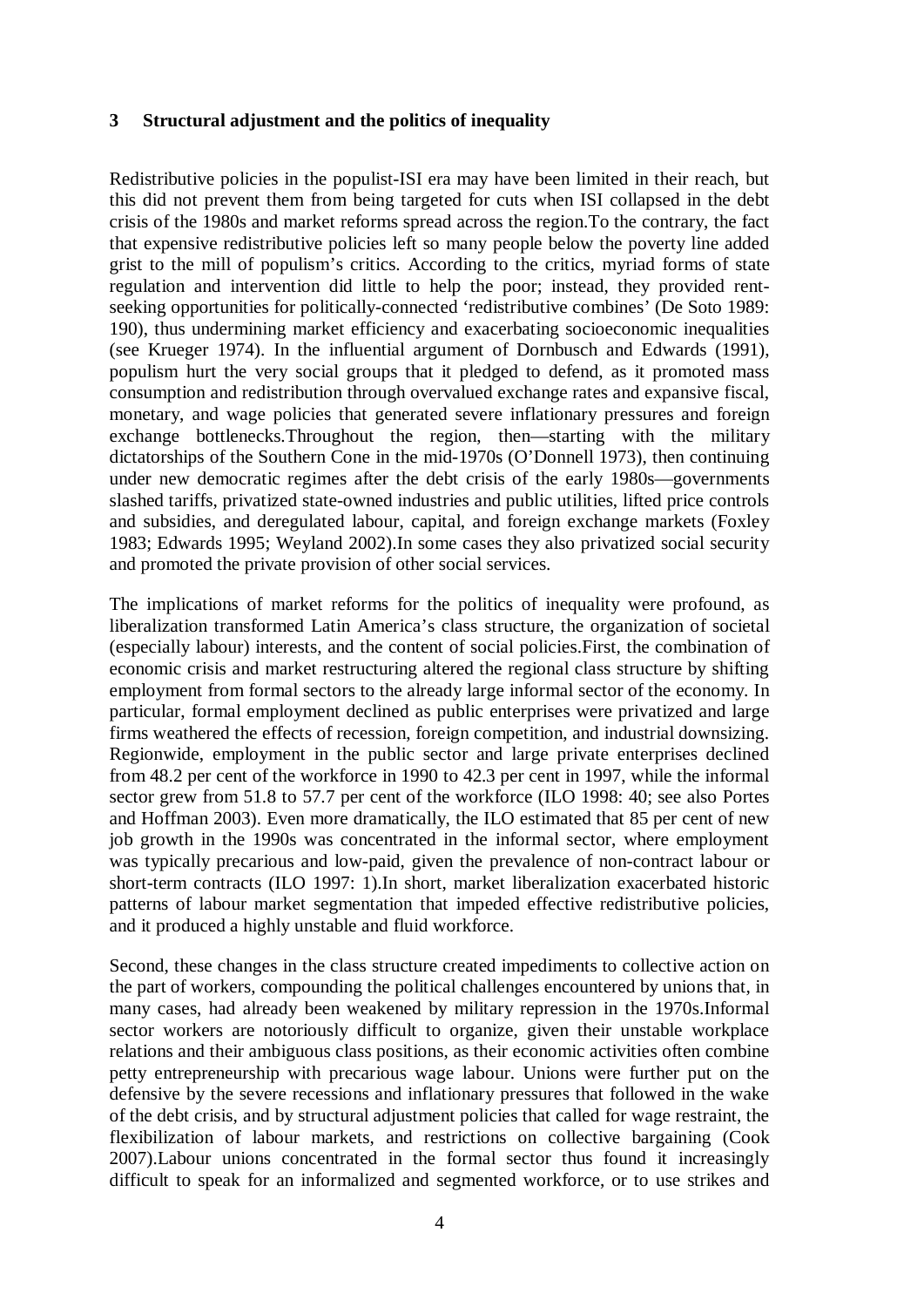#### **3 Structural adjustment and the politics of inequality**

Redistributive policies in the populist-ISI era may have been limited in their reach, but this did not prevent them from being targeted for cuts when ISI collapsed in the debt crisis of the 1980s and market reforms spread across the region.To the contrary, the fact that expensive redistributive policies left so many people below the poverty line added grist to the mill of populism's critics. According to the critics, myriad forms of state regulation and intervention did little to help the poor; instead, they provided rentseeking opportunities for politically-connected 'redistributive combines' (De Soto 1989: 190), thus undermining market efficiency and exacerbating socioeconomic inequalities (see Krueger 1974). In the influential argument of Dornbusch and Edwards (1991), populism hurt the very social groups that it pledged to defend, as it promoted mass consumption and redistribution through overvalued exchange rates and expansive fiscal, monetary, and wage policies that generated severe inflationary pressures and foreign exchange bottlenecks.Throughout the region, then—starting with the military dictatorships of the Southern Cone in the mid-1970s (O'Donnell 1973), then continuing under new democratic regimes after the debt crisis of the early 1980s—governments slashed tariffs, privatized state-owned industries and public utilities, lifted price controls and subsidies, and deregulated labour, capital, and foreign exchange markets (Foxley 1983; Edwards 1995; Weyland 2002).In some cases they also privatized social security and promoted the private provision of other social services.

The implications of market reforms for the politics of inequality were profound, as liberalization transformed Latin America's class structure, the organization of societal (especially labour) interests, and the content of social policies.First, the combination of economic crisis and market restructuring altered the regional class structure by shifting employment from formal sectors to the already large informal sector of the economy. In particular, formal employment declined as public enterprises were privatized and large firms weathered the effects of recession, foreign competition, and industrial downsizing. Regionwide, employment in the public sector and large private enterprises declined from 48.2 per cent of the workforce in 1990 to 42.3 per cent in 1997, while the informal sector grew from 51.8 to 57.7 per cent of the workforce (ILO 1998: 40; see also Portes and Hoffman 2003). Even more dramatically, the ILO estimated that 85 per cent of new job growth in the 1990s was concentrated in the informal sector, where employment was typically precarious and low-paid, given the prevalence of non-contract labour or short-term contracts (ILO 1997: 1).In short, market liberalization exacerbated historic patterns of labour market segmentation that impeded effective redistributive policies, and it produced a highly unstable and fluid workforce.

Second, these changes in the class structure created impediments to collective action on the part of workers, compounding the political challenges encountered by unions that, in many cases, had already been weakened by military repression in the 1970s.Informal sector workers are notoriously difficult to organize, given their unstable workplace relations and their ambiguous class positions, as their economic activities often combine petty entrepreneurship with precarious wage labour. Unions were further put on the defensive by the severe recessions and inflationary pressures that followed in the wake of the debt crisis, and by structural adjustment policies that called for wage restraint, the flexibilization of labour markets, and restrictions on collective bargaining (Cook 2007).Labour unions concentrated in the formal sector thus found it increasingly difficult to speak for an informalized and segmented workforce, or to use strikes and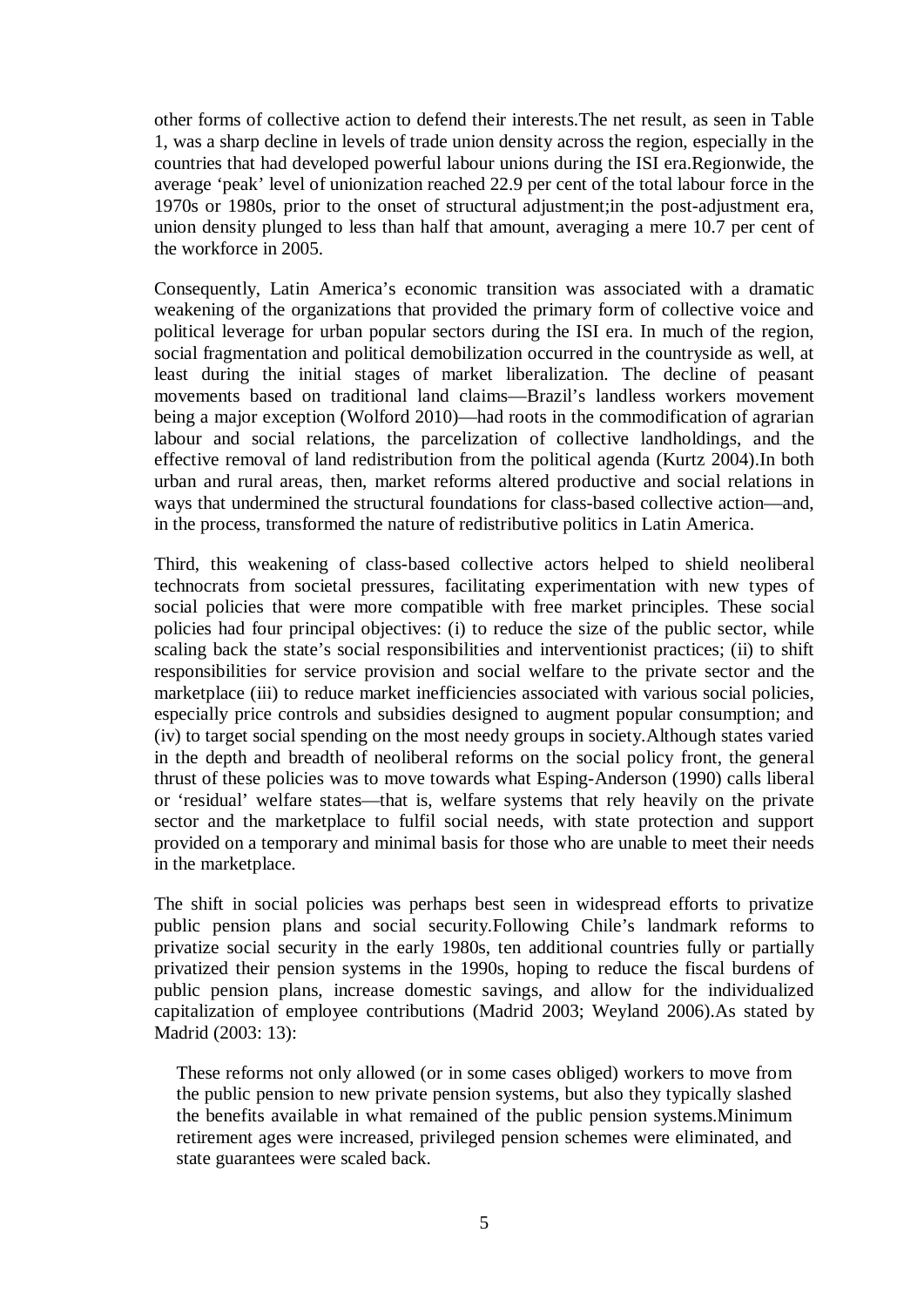other forms of collective action to defend their interests.The net result, as seen in Table 1, was a sharp decline in levels of trade union density across the region, especially in the countries that had developed powerful labour unions during the ISI era.Regionwide, the average 'peak' level of unionization reached 22.9 per cent of the total labour force in the 1970s or 1980s, prior to the onset of structural adjustment;in the post-adjustment era, union density plunged to less than half that amount, averaging a mere 10.7 per cent of the workforce in 2005.

Consequently, Latin America's economic transition was associated with a dramatic weakening of the organizations that provided the primary form of collective voice and political leverage for urban popular sectors during the ISI era. In much of the region, social fragmentation and political demobilization occurred in the countryside as well, at least during the initial stages of market liberalization. The decline of peasant movements based on traditional land claims—Brazil's landless workers movement being a major exception (Wolford 2010)—had roots in the commodification of agrarian labour and social relations, the parcelization of collective landholdings, and the effective removal of land redistribution from the political agenda (Kurtz 2004).In both urban and rural areas, then, market reforms altered productive and social relations in ways that undermined the structural foundations for class-based collective action—and, in the process, transformed the nature of redistributive politics in Latin America.

Third, this weakening of class-based collective actors helped to shield neoliberal technocrats from societal pressures, facilitating experimentation with new types of social policies that were more compatible with free market principles. These social policies had four principal objectives: (i) to reduce the size of the public sector, while scaling back the state's social responsibilities and interventionist practices; (ii) to shift responsibilities for service provision and social welfare to the private sector and the marketplace (iii) to reduce market inefficiencies associated with various social policies, especially price controls and subsidies designed to augment popular consumption; and (iv) to target social spending on the most needy groups in society.Although states varied in the depth and breadth of neoliberal reforms on the social policy front, the general thrust of these policies was to move towards what Esping-Anderson (1990) calls liberal or 'residual' welfare states—that is, welfare systems that rely heavily on the private sector and the marketplace to fulfil social needs, with state protection and support provided on a temporary and minimal basis for those who are unable to meet their needs in the marketplace.

The shift in social policies was perhaps best seen in widespread efforts to privatize public pension plans and social security.Following Chile's landmark reforms to privatize social security in the early 1980s, ten additional countries fully or partially privatized their pension systems in the 1990s, hoping to reduce the fiscal burdens of public pension plans, increase domestic savings, and allow for the individualized capitalization of employee contributions (Madrid 2003; Weyland 2006).As stated by Madrid (2003: 13):

These reforms not only allowed (or in some cases obliged) workers to move from the public pension to new private pension systems, but also they typically slashed the benefits available in what remained of the public pension systems.Minimum retirement ages were increased, privileged pension schemes were eliminated, and state guarantees were scaled back.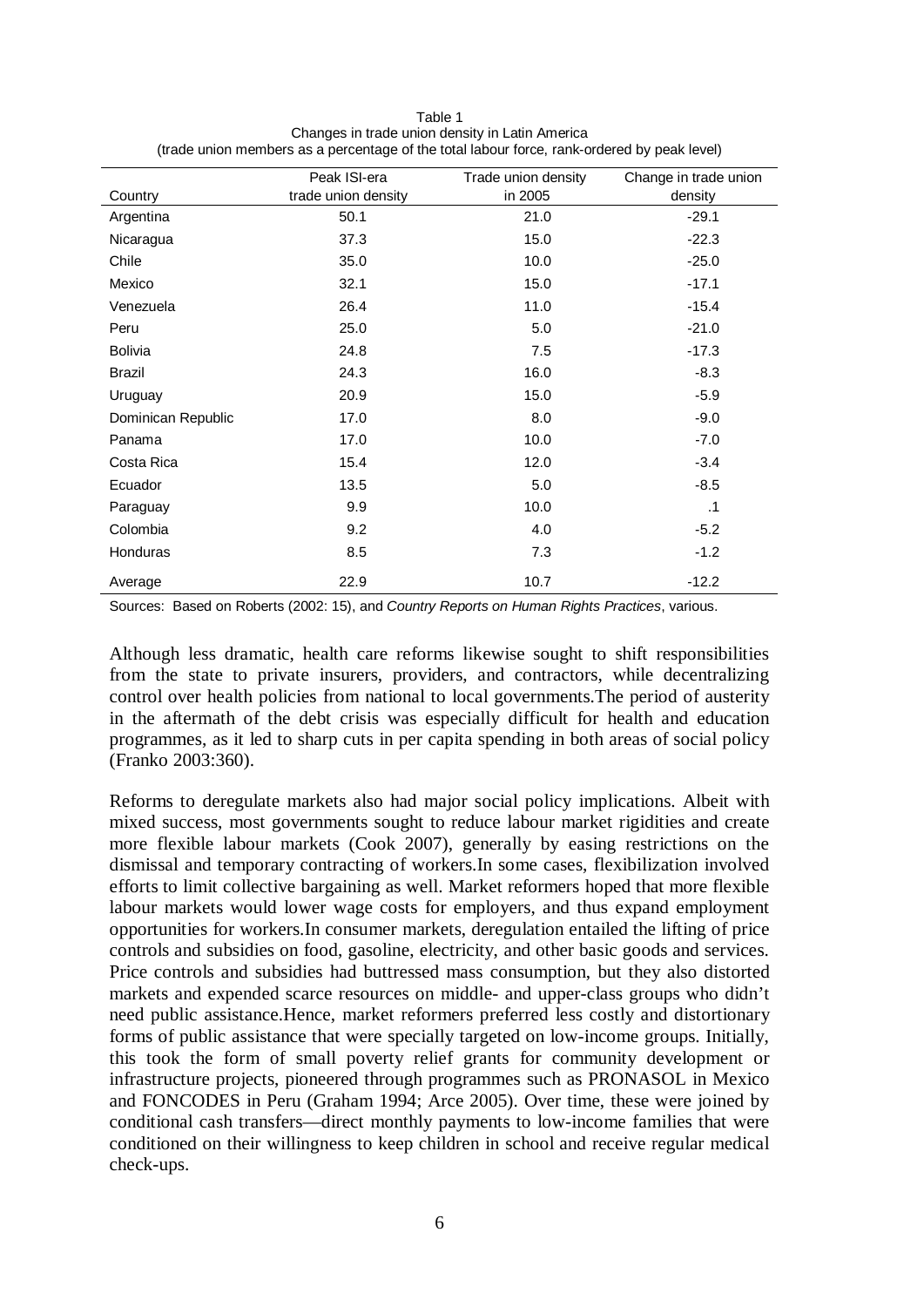| Table 1                                                                                     |
|---------------------------------------------------------------------------------------------|
| Changes in trade union density in Latin America                                             |
| (trade union members as a percentage of the total labour force, rank-ordered by peak level) |

|                    | Peak ISI-era        | Trade union density | Change in trade union |
|--------------------|---------------------|---------------------|-----------------------|
| Country            | trade union density | in 2005             | density               |
| Argentina          | 50.1                | 21.0                | $-29.1$               |
| Nicaragua          | 37.3                | 15.0                | $-22.3$               |
| Chile              | 35.0                | 10.0                | $-25.0$               |
| Mexico             | 32.1                | 15.0                | $-17.1$               |
| Venezuela          | 26.4                | 11.0                | $-15.4$               |
| Peru               | 25.0                | 5.0                 | $-21.0$               |
| <b>Bolivia</b>     | 24.8                | 7.5                 | $-17.3$               |
| <b>Brazil</b>      | 24.3                | 16.0                | $-8.3$                |
| Uruguay            | 20.9                | 15.0                | $-5.9$                |
| Dominican Republic | 17.0                | 8.0                 | $-9.0$                |
| Panama             | 17.0                | 10.0                | $-7.0$                |
| Costa Rica         | 15.4                | 12.0                | $-3.4$                |
| Ecuador            | 13.5                | 5.0                 | $-8.5$                |
| Paraguay           | 9.9                 | 10.0                | $\cdot$ 1             |
| Colombia           | 9.2                 | 4.0                 | $-5.2$                |
| Honduras           | 8.5                 | 7.3                 | $-1.2$                |
| Average            | 22.9                | 10.7                | $-12.2$               |

Sources: Based on Roberts (2002: 15), and *Country Reports on Human Rights Practices*, various.

Although less dramatic, health care reforms likewise sought to shift responsibilities from the state to private insurers, providers, and contractors, while decentralizing control over health policies from national to local governments.The period of austerity in the aftermath of the debt crisis was especially difficult for health and education programmes, as it led to sharp cuts in per capita spending in both areas of social policy (Franko 2003:360).

Reforms to deregulate markets also had major social policy implications. Albeit with mixed success, most governments sought to reduce labour market rigidities and create more flexible labour markets (Cook 2007), generally by easing restrictions on the dismissal and temporary contracting of workers.In some cases, flexibilization involved efforts to limit collective bargaining as well. Market reformers hoped that more flexible labour markets would lower wage costs for employers, and thus expand employment opportunities for workers.In consumer markets, deregulation entailed the lifting of price controls and subsidies on food, gasoline, electricity, and other basic goods and services. Price controls and subsidies had buttressed mass consumption, but they also distorted markets and expended scarce resources on middle- and upper-class groups who didn't need public assistance.Hence, market reformers preferred less costly and distortionary forms of public assistance that were specially targeted on low-income groups. Initially, this took the form of small poverty relief grants for community development or infrastructure projects, pioneered through programmes such as PRONASOL in Mexico and FONCODES in Peru (Graham 1994; Arce 2005). Over time, these were joined by conditional cash transfers—direct monthly payments to low-income families that were conditioned on their willingness to keep children in school and receive regular medical check-ups.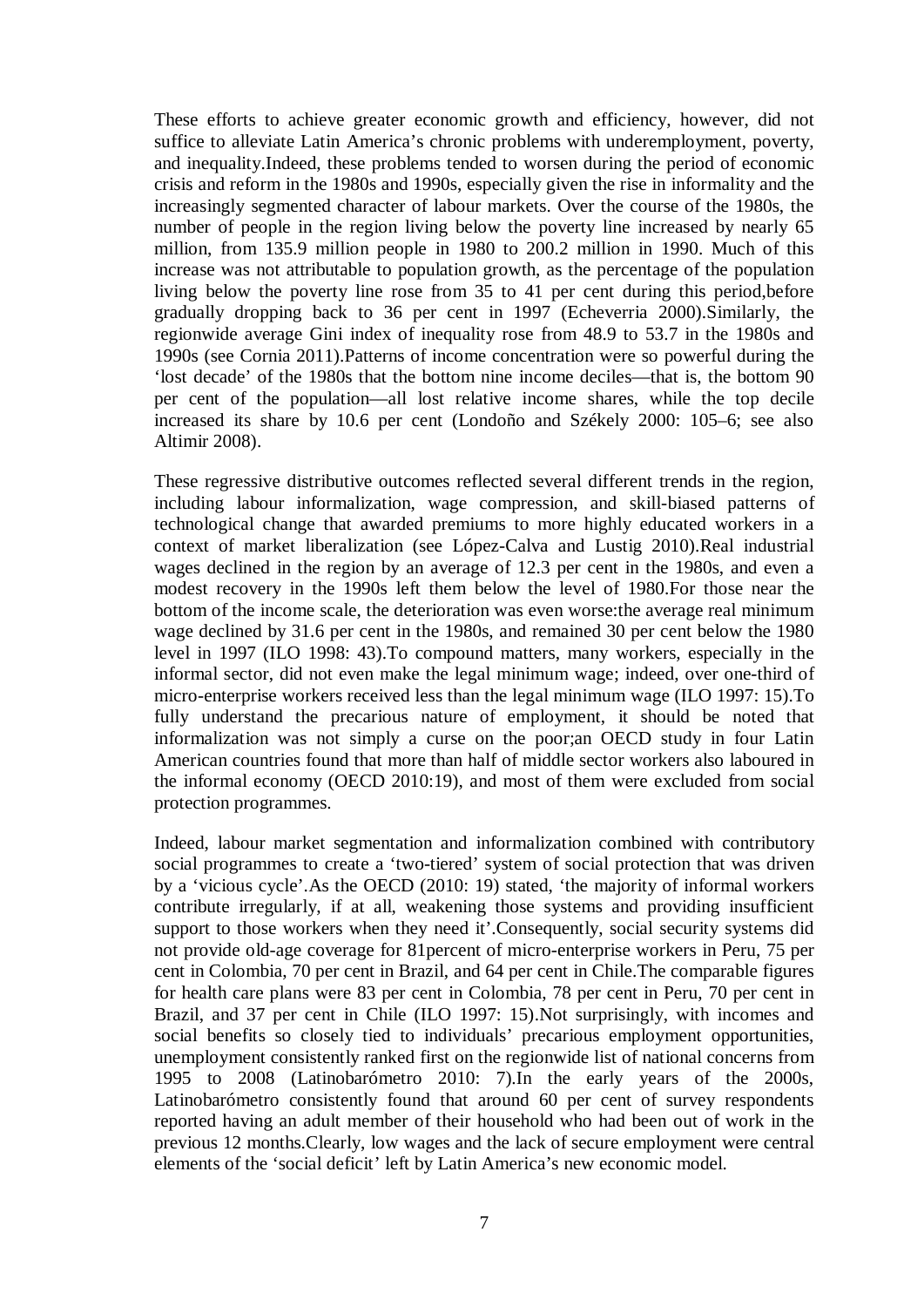These efforts to achieve greater economic growth and efficiency, however, did not suffice to alleviate Latin America's chronic problems with underemployment, poverty, and inequality.Indeed, these problems tended to worsen during the period of economic crisis and reform in the 1980s and 1990s, especially given the rise in informality and the increasingly segmented character of labour markets. Over the course of the 1980s, the number of people in the region living below the poverty line increased by nearly 65 million, from 135.9 million people in 1980 to 200.2 million in 1990. Much of this increase was not attributable to population growth, as the percentage of the population living below the poverty line rose from 35 to 41 per cent during this period,before gradually dropping back to 36 per cent in 1997 (Echeverria 2000).Similarly, the regionwide average Gini index of inequality rose from 48.9 to 53.7 in the 1980s and 1990s (see Cornia 2011).Patterns of income concentration were so powerful during the 'lost decade' of the 1980s that the bottom nine income deciles—that is, the bottom 90 per cent of the population—all lost relative income shares, while the top decile increased its share by 10.6 per cent (Londoño and Székely 2000: 105–6; see also Altimir 2008).

These regressive distributive outcomes reflected several different trends in the region, including labour informalization, wage compression, and skill-biased patterns of technological change that awarded premiums to more highly educated workers in a context of market liberalization (see López-Calva and Lustig 2010).Real industrial wages declined in the region by an average of 12.3 per cent in the 1980s, and even a modest recovery in the 1990s left them below the level of 1980.For those near the bottom of the income scale, the deterioration was even worse:the average real minimum wage declined by 31.6 per cent in the 1980s, and remained 30 per cent below the 1980 level in 1997 (ILO 1998: 43).To compound matters, many workers, especially in the informal sector, did not even make the legal minimum wage; indeed, over one-third of micro-enterprise workers received less than the legal minimum wage (ILO 1997: 15).To fully understand the precarious nature of employment, it should be noted that informalization was not simply a curse on the poor;an OECD study in four Latin American countries found that more than half of middle sector workers also laboured in the informal economy (OECD 2010:19), and most of them were excluded from social protection programmes.

Indeed, labour market segmentation and informalization combined with contributory social programmes to create a 'two-tiered' system of social protection that was driven by a 'vicious cycle'.As the OECD (2010: 19) stated, 'the majority of informal workers contribute irregularly, if at all, weakening those systems and providing insufficient support to those workers when they need it'.Consequently, social security systems did not provide old-age coverage for 81percent of micro-enterprise workers in Peru, 75 per cent in Colombia, 70 per cent in Brazil, and 64 per cent in Chile.The comparable figures for health care plans were 83 per cent in Colombia, 78 per cent in Peru, 70 per cent in Brazil, and 37 per cent in Chile (ILO 1997: 15).Not surprisingly, with incomes and social benefits so closely tied to individuals' precarious employment opportunities, unemployment consistently ranked first on the regionwide list of national concerns from 1995 to 2008 (Latinobarómetro 2010: 7).In the early years of the 2000s, Latinobarómetro consistently found that around 60 per cent of survey respondents reported having an adult member of their household who had been out of work in the previous 12 months.Clearly, low wages and the lack of secure employment were central elements of the 'social deficit' left by Latin America's new economic model.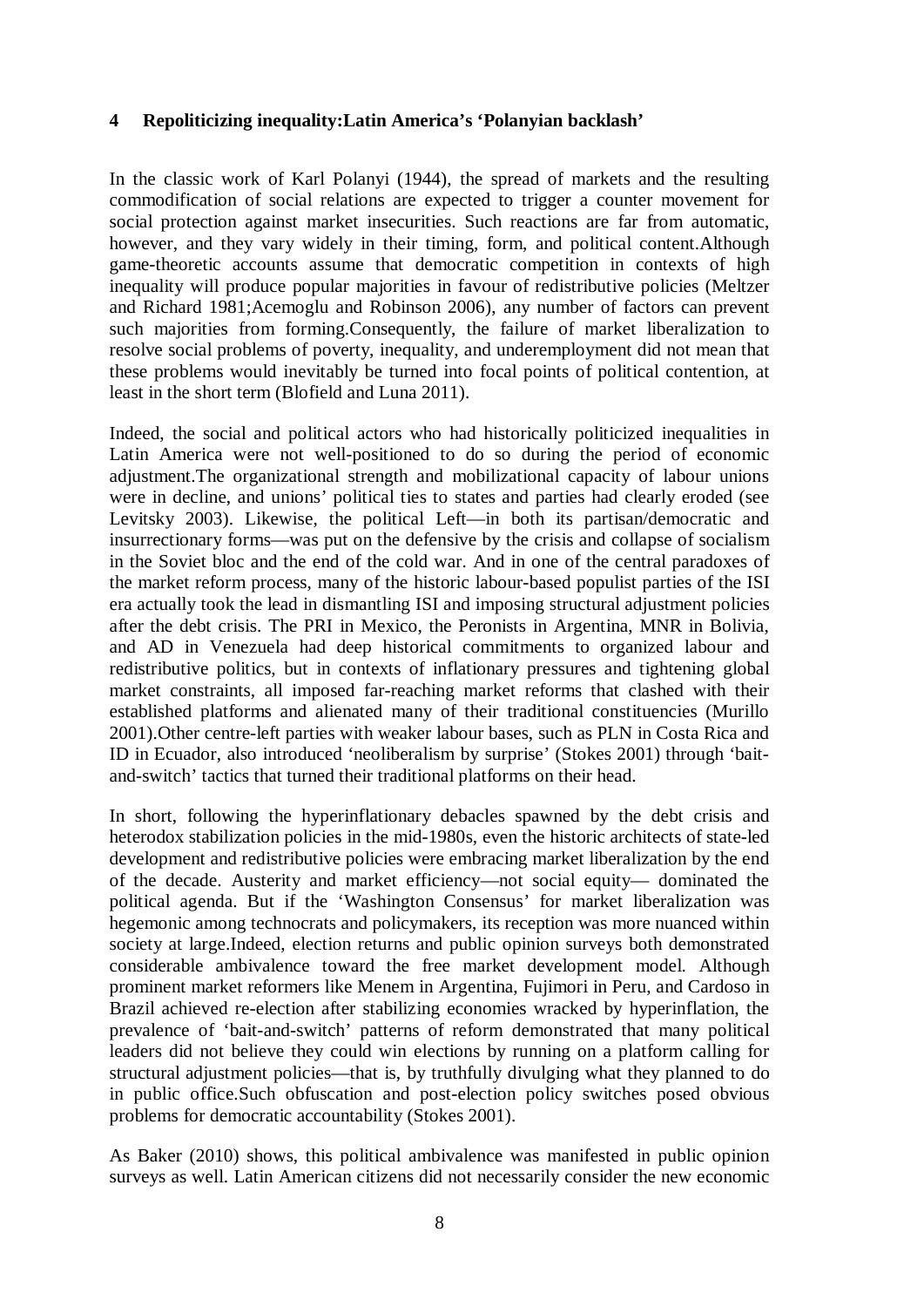## **4 Repoliticizing inequality:Latin America's 'Polanyian backlash'**

In the classic work of Karl Polanyi (1944), the spread of markets and the resulting commodification of social relations are expected to trigger a counter movement for social protection against market insecurities. Such reactions are far from automatic, however, and they vary widely in their timing, form, and political content.Although game-theoretic accounts assume that democratic competition in contexts of high inequality will produce popular majorities in favour of redistributive policies (Meltzer and Richard 1981;Acemoglu and Robinson 2006), any number of factors can prevent such majorities from forming.Consequently, the failure of market liberalization to resolve social problems of poverty, inequality, and underemployment did not mean that these problems would inevitably be turned into focal points of political contention, at least in the short term (Blofield and Luna 2011).

Indeed, the social and political actors who had historically politicized inequalities in Latin America were not well-positioned to do so during the period of economic adjustment.The organizational strength and mobilizational capacity of labour unions were in decline, and unions' political ties to states and parties had clearly eroded (see Levitsky 2003). Likewise, the political Left—in both its partisan/democratic and insurrectionary forms—was put on the defensive by the crisis and collapse of socialism in the Soviet bloc and the end of the cold war. And in one of the central paradoxes of the market reform process, many of the historic labour-based populist parties of the ISI era actually took the lead in dismantling ISI and imposing structural adjustment policies after the debt crisis. The PRI in Mexico, the Peronists in Argentina, MNR in Bolivia, and AD in Venezuela had deep historical commitments to organized labour and redistributive politics, but in contexts of inflationary pressures and tightening global market constraints, all imposed far-reaching market reforms that clashed with their established platforms and alienated many of their traditional constituencies (Murillo 2001).Other centre-left parties with weaker labour bases, such as PLN in Costa Rica and ID in Ecuador, also introduced 'neoliberalism by surprise' (Stokes 2001) through 'baitand-switch' tactics that turned their traditional platforms on their head.

In short, following the hyperinflationary debacles spawned by the debt crisis and heterodox stabilization policies in the mid-1980s, even the historic architects of state-led development and redistributive policies were embracing market liberalization by the end of the decade. Austerity and market efficiency—not social equity— dominated the political agenda. But if the 'Washington Consensus' for market liberalization was hegemonic among technocrats and policymakers, its reception was more nuanced within society at large.Indeed, election returns and public opinion surveys both demonstrated considerable ambivalence toward the free market development model. Although prominent market reformers like Menem in Argentina, Fujimori in Peru, and Cardoso in Brazil achieved re-election after stabilizing economies wracked by hyperinflation, the prevalence of 'bait-and-switch' patterns of reform demonstrated that many political leaders did not believe they could win elections by running on a platform calling for structural adjustment policies—that is, by truthfully divulging what they planned to do in public office.Such obfuscation and post-election policy switches posed obvious problems for democratic accountability (Stokes 2001).

As Baker (2010) shows, this political ambivalence was manifested in public opinion surveys as well. Latin American citizens did not necessarily consider the new economic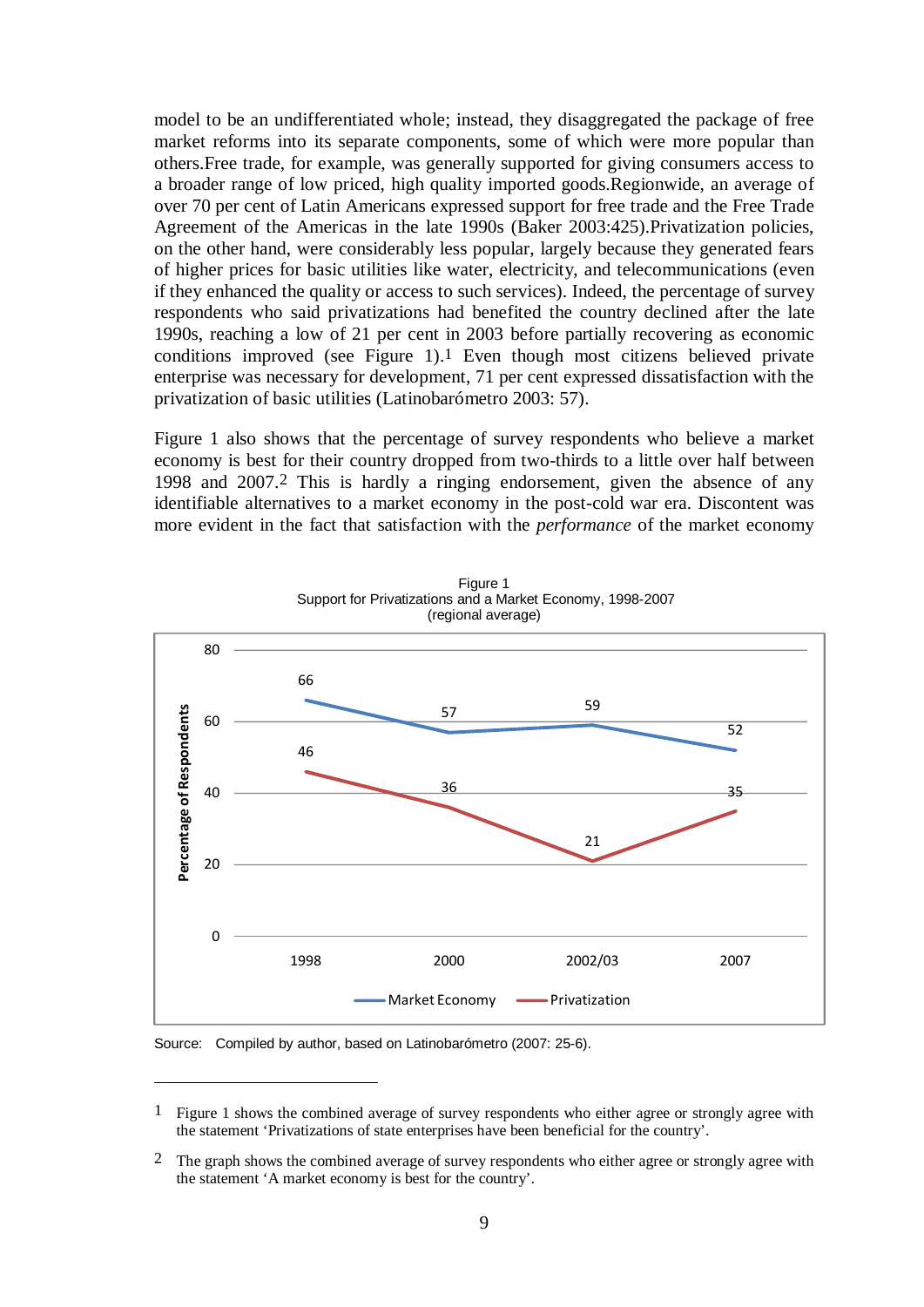model to be an undifferentiated whole; instead, they disaggregated the package of free market reforms into its separate components, some of which were more popular than others.Free trade, for example, was generally supported for giving consumers access to a broader range of low priced, high quality imported goods.Regionwide, an average of over 70 per cent of Latin Americans expressed support for free trade and the Free Trade Agreement of the Americas in the late 1990s (Baker 2003:425).Privatization policies, on the other hand, were considerably less popular, largely because they generated fears of higher prices for basic utilities like water, electricity, and telecommunications (even if they enhanced the quality or access to such services). Indeed, the percentage of survey respondents who said privatizations had benefited the country declined after the late 1990s, reaching a low of 21 per cent in 2003 before partially recovering as economic conditions improved (see Figure 1).1 Even though most citizens believed private enterprise was necessary for development, 71 per cent expressed dissatisfaction with the privatization of basic utilities (Latinobarómetro 2003: 57).

Figure 1 also shows that the percentage of survey respondents who believe a market economy is best for their country dropped from two-thirds to a little over half between 1998 and 2007.2 This is hardly a ringing endorsement, given the absence of any identifiable alternatives to a market economy in the post-cold war era. Discontent was more evident in the fact that satisfaction with the *performance* of the market economy



Figure 1 Support for Privatizations and a Market Economy, 1998-2007 (regional average)

Source: Compiled by author, based on Latinobarómetro (2007: 25-6).

1

<sup>1</sup> Figure 1 shows the combined average of survey respondents who either agree or strongly agree with the statement 'Privatizations of state enterprises have been beneficial for the country'.

<sup>&</sup>lt;sup>2</sup> The graph shows the combined average of survey respondents who either agree or strongly agree with the statement 'A market economy is best for the country'.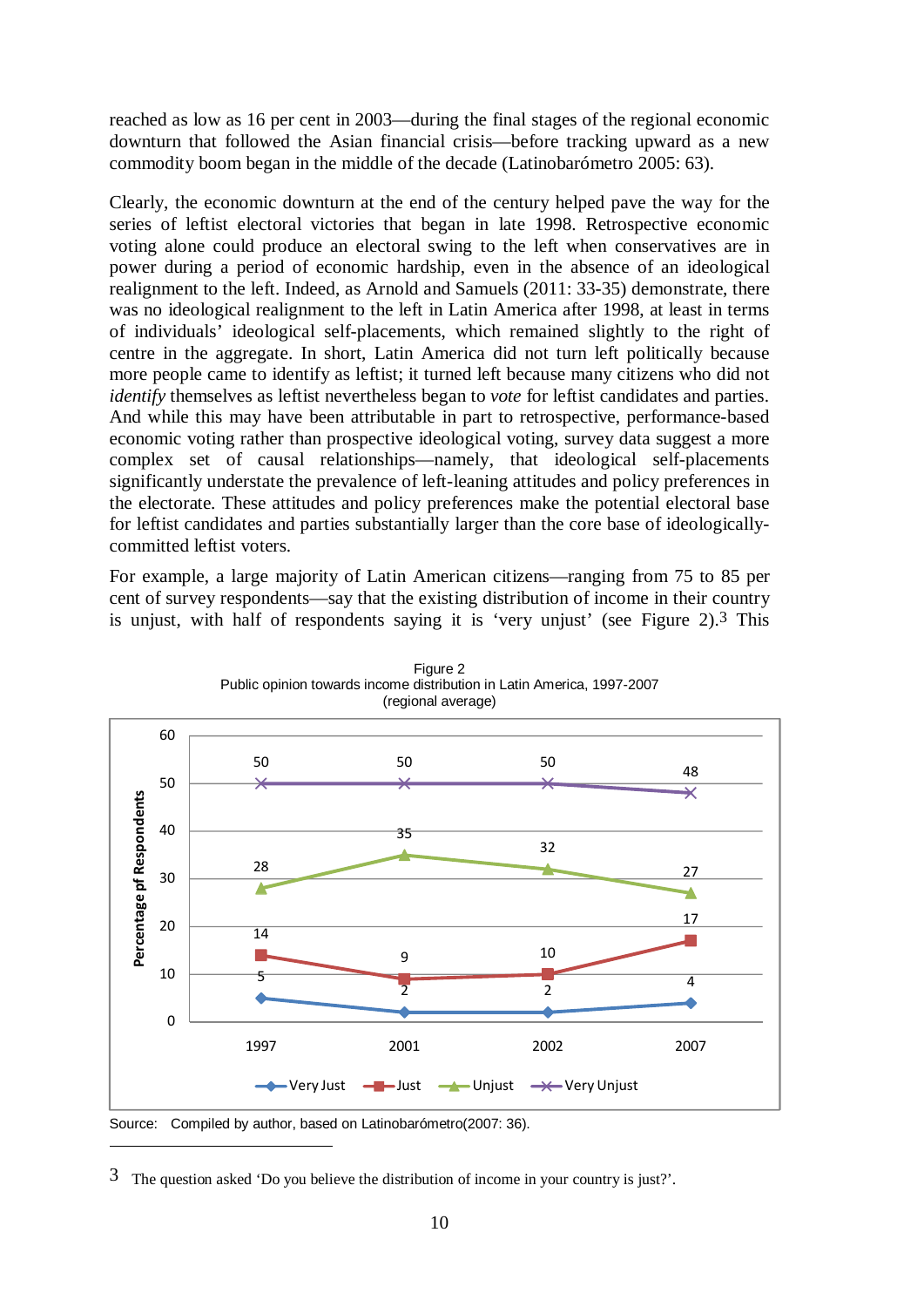reached as low as 16 per cent in 2003—during the final stages of the regional economic downturn that followed the Asian financial crisis—before tracking upward as a new commodity boom began in the middle of the decade (Latinobarómetro 2005: 63).

Clearly, the economic downturn at the end of the century helped pave the way for the series of leftist electoral victories that began in late 1998. Retrospective economic voting alone could produce an electoral swing to the left when conservatives are in power during a period of economic hardship, even in the absence of an ideological realignment to the left. Indeed, as Arnold and Samuels (2011: 33-35) demonstrate, there was no ideological realignment to the left in Latin America after 1998, at least in terms of individuals' ideological self-placements, which remained slightly to the right of centre in the aggregate. In short, Latin America did not turn left politically because more people came to identify as leftist; it turned left because many citizens who did not *identify* themselves as leftist nevertheless began to *vote* for leftist candidates and parties. And while this may have been attributable in part to retrospective, performance-based economic voting rather than prospective ideological voting, survey data suggest a more complex set of causal relationships—namely, that ideological self-placements significantly understate the prevalence of left-leaning attitudes and policy preferences in the electorate. These attitudes and policy preferences make the potential electoral base for leftist candidates and parties substantially larger than the core base of ideologicallycommitted leftist voters.

For example, a large majority of Latin American citizens—ranging from 75 to 85 per cent of survey respondents—say that the existing distribution of income in their country is unjust, with half of respondents saying it is 'very unjust' (see Figure 2).3 This



Figure 2 Public opinion towards income distribution in Latin America, 1997-2007 (regional average)

 $\overline{a}$ 

Source: Compiled by author, based on Latinobarómetro(2007: 36).

<sup>3</sup> The question asked 'Do you believe the distribution of income in your country is just?'.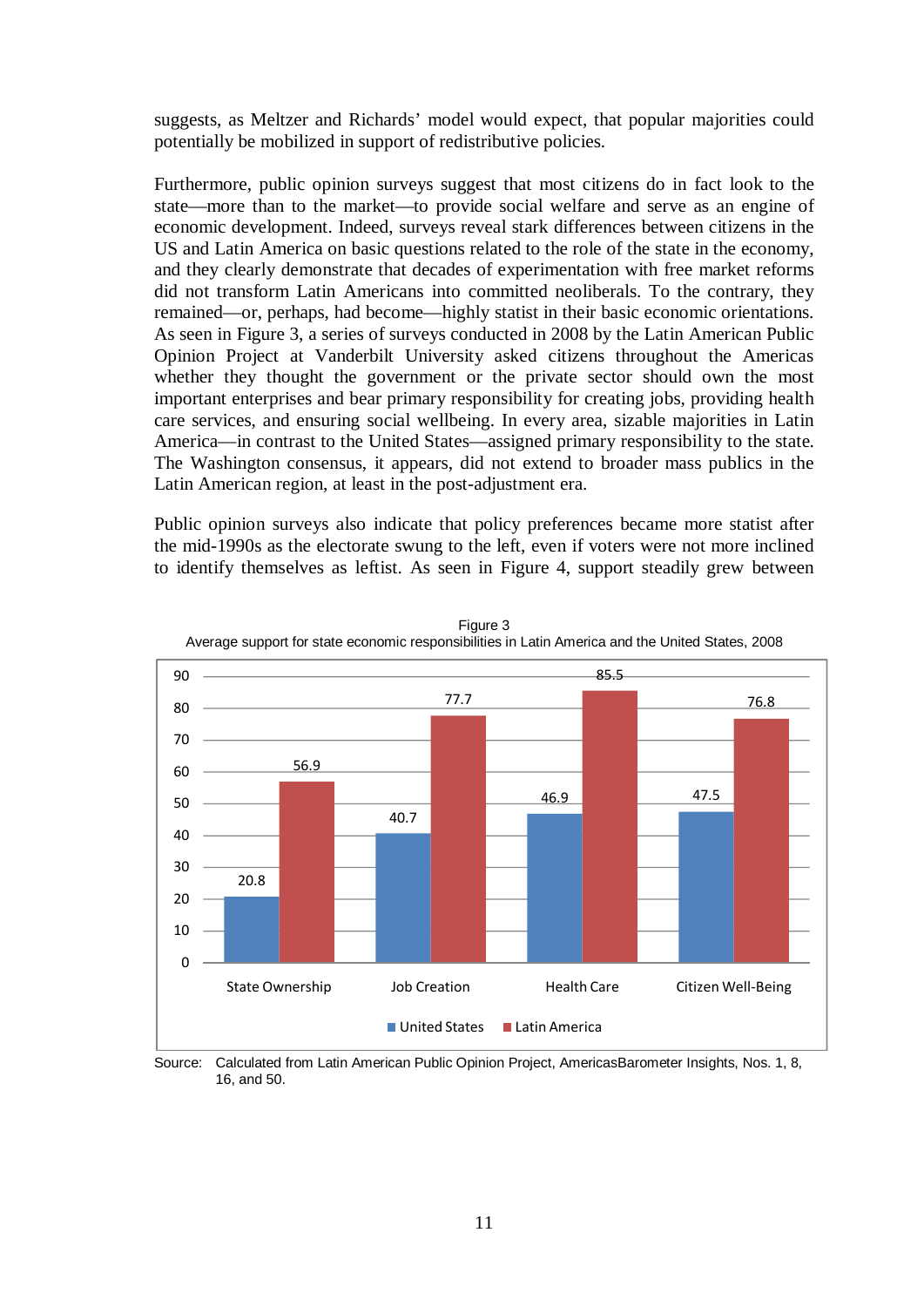suggests, as Meltzer and Richards' model would expect, that popular majorities could potentially be mobilized in support of redistributive policies.

Furthermore, public opinion surveys suggest that most citizens do in fact look to the state—more than to the market—to provide social welfare and serve as an engine of economic development. Indeed, surveys reveal stark differences between citizens in the US and Latin America on basic questions related to the role of the state in the economy, and they clearly demonstrate that decades of experimentation with free market reforms did not transform Latin Americans into committed neoliberals. To the contrary, they remained—or, perhaps, had become—highly statist in their basic economic orientations. As seen in Figure 3, a series of surveys conducted in 2008 by the Latin American Public Opinion Project at Vanderbilt University asked citizens throughout the Americas whether they thought the government or the private sector should own the most important enterprises and bear primary responsibility for creating jobs, providing health care services, and ensuring social wellbeing. In every area, sizable majorities in Latin America—in contrast to the United States—assigned primary responsibility to the state. The Washington consensus, it appears, did not extend to broader mass publics in the Latin American region, at least in the post-adjustment era.

Public opinion surveys also indicate that policy preferences became more statist after the mid-1990s as the electorate swung to the left, even if voters were not more inclined to identify themselves as leftist. As seen in Figure 4, support steadily grew between



Figure 3 Average support for state economic responsibilities in Latin America and the United States, 2008

Source: Calculated from Latin American Public Opinion Project, AmericasBarometer Insights, Nos. 1, 8, 16, and 50.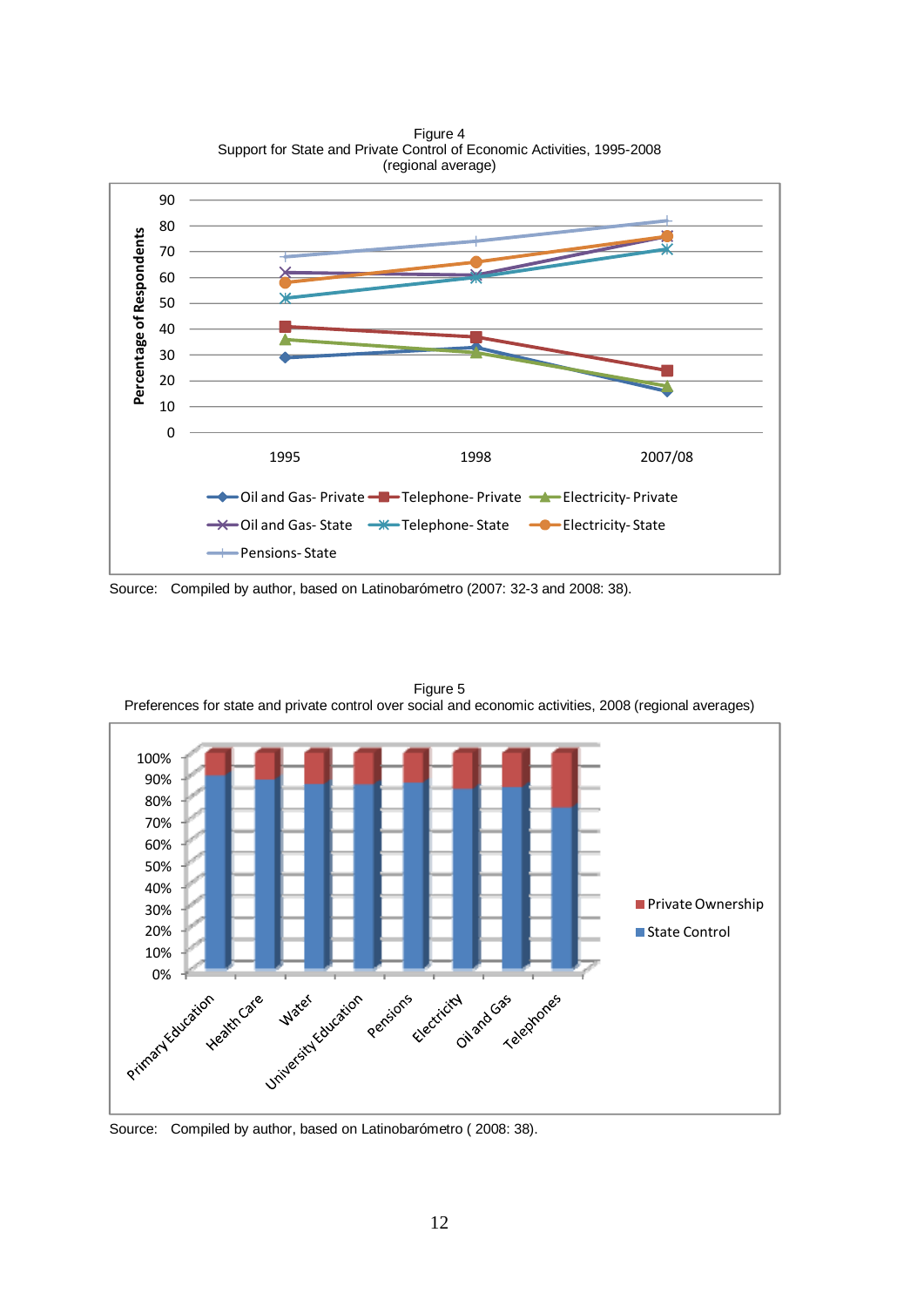

Figure 4

Source: Compiled by author, based on Latinobarómetro (2007: 32-3 and 2008: 38).



Figure 5 Preferences for state and private control over social and economic activities, 2008 (regional averages)

Source: Compiled by author, based on Latinobarómetro ( 2008: 38).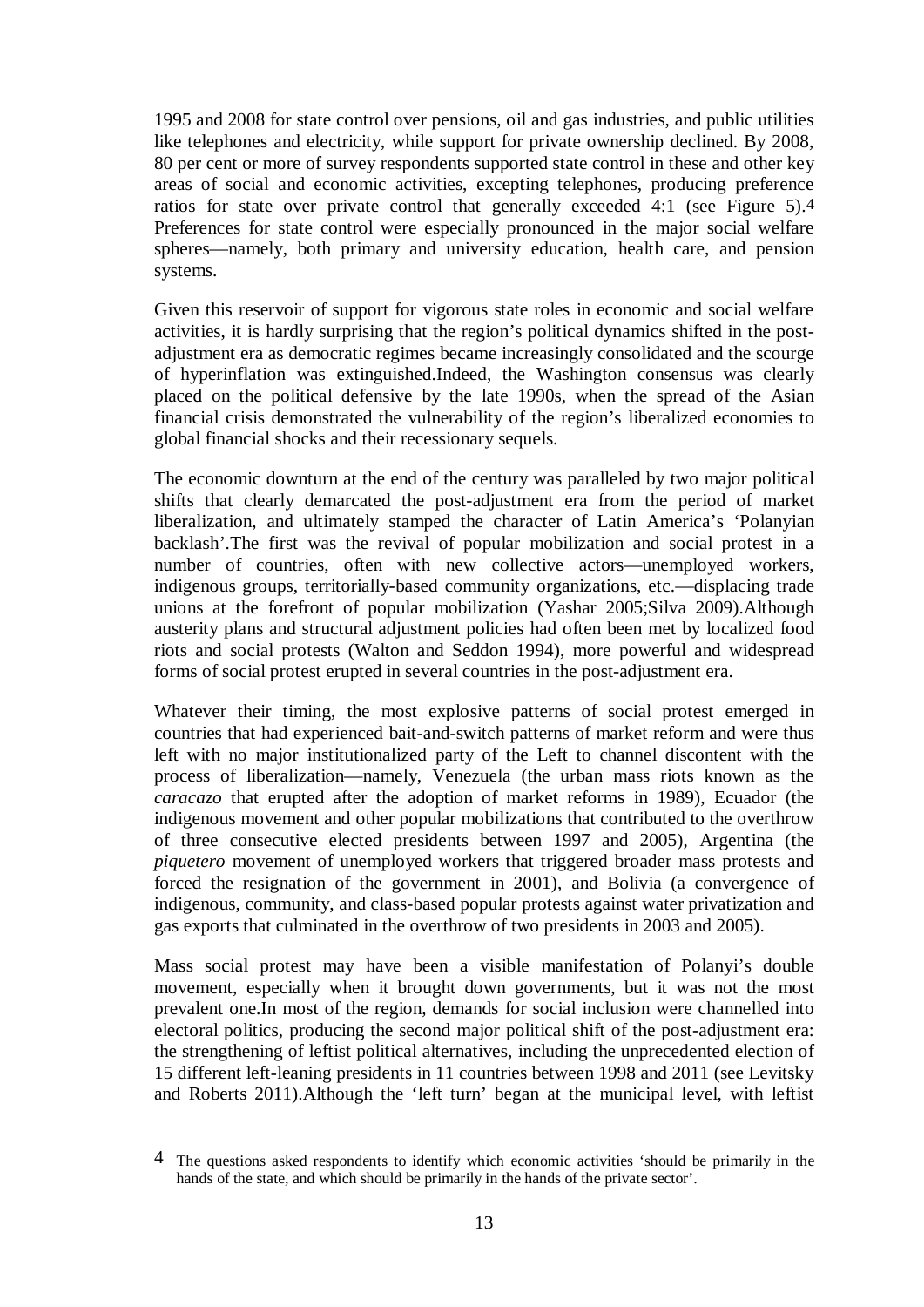1995 and 2008 for state control over pensions, oil and gas industries, and public utilities like telephones and electricity, while support for private ownership declined. By 2008, 80 per cent or more of survey respondents supported state control in these and other key areas of social and economic activities, excepting telephones, producing preference ratios for state over private control that generally exceeded 4:1 (see Figure 5).4 Preferences for state control were especially pronounced in the major social welfare spheres—namely, both primary and university education, health care, and pension systems.

Given this reservoir of support for vigorous state roles in economic and social welfare activities, it is hardly surprising that the region's political dynamics shifted in the postadjustment era as democratic regimes became increasingly consolidated and the scourge of hyperinflation was extinguished.Indeed, the Washington consensus was clearly placed on the political defensive by the late 1990s, when the spread of the Asian financial crisis demonstrated the vulnerability of the region's liberalized economies to global financial shocks and their recessionary sequels.

The economic downturn at the end of the century was paralleled by two major political shifts that clearly demarcated the post-adjustment era from the period of market liberalization, and ultimately stamped the character of Latin America's 'Polanyian backlash'.The first was the revival of popular mobilization and social protest in a number of countries, often with new collective actors—unemployed workers, indigenous groups, territorially-based community organizations, etc.—displacing trade unions at the forefront of popular mobilization (Yashar 2005;Silva 2009).Although austerity plans and structural adjustment policies had often been met by localized food riots and social protests (Walton and Seddon 1994), more powerful and widespread forms of social protest erupted in several countries in the post-adjustment era.

Whatever their timing, the most explosive patterns of social protest emerged in countries that had experienced bait-and-switch patterns of market reform and were thus left with no major institutionalized party of the Left to channel discontent with the process of liberalization—namely, Venezuela (the urban mass riots known as the *caracazo* that erupted after the adoption of market reforms in 1989), Ecuador (the indigenous movement and other popular mobilizations that contributed to the overthrow of three consecutive elected presidents between 1997 and 2005), Argentina (the *piquetero* movement of unemployed workers that triggered broader mass protests and forced the resignation of the government in 2001), and Bolivia (a convergence of indigenous, community, and class-based popular protests against water privatization and gas exports that culminated in the overthrow of two presidents in 2003 and 2005).

Mass social protest may have been a visible manifestation of Polanyi's double movement, especially when it brought down governments, but it was not the most prevalent one.In most of the region, demands for social inclusion were channelled into electoral politics, producing the second major political shift of the post-adjustment era: the strengthening of leftist political alternatives, including the unprecedented election of 15 different left-leaning presidents in 11 countries between 1998 and 2011 (see Levitsky and Roberts 2011).Although the 'left turn' began at the municipal level, with leftist

<u>.</u>

<sup>4</sup> The questions asked respondents to identify which economic activities 'should be primarily in the hands of the state, and which should be primarily in the hands of the private sector'.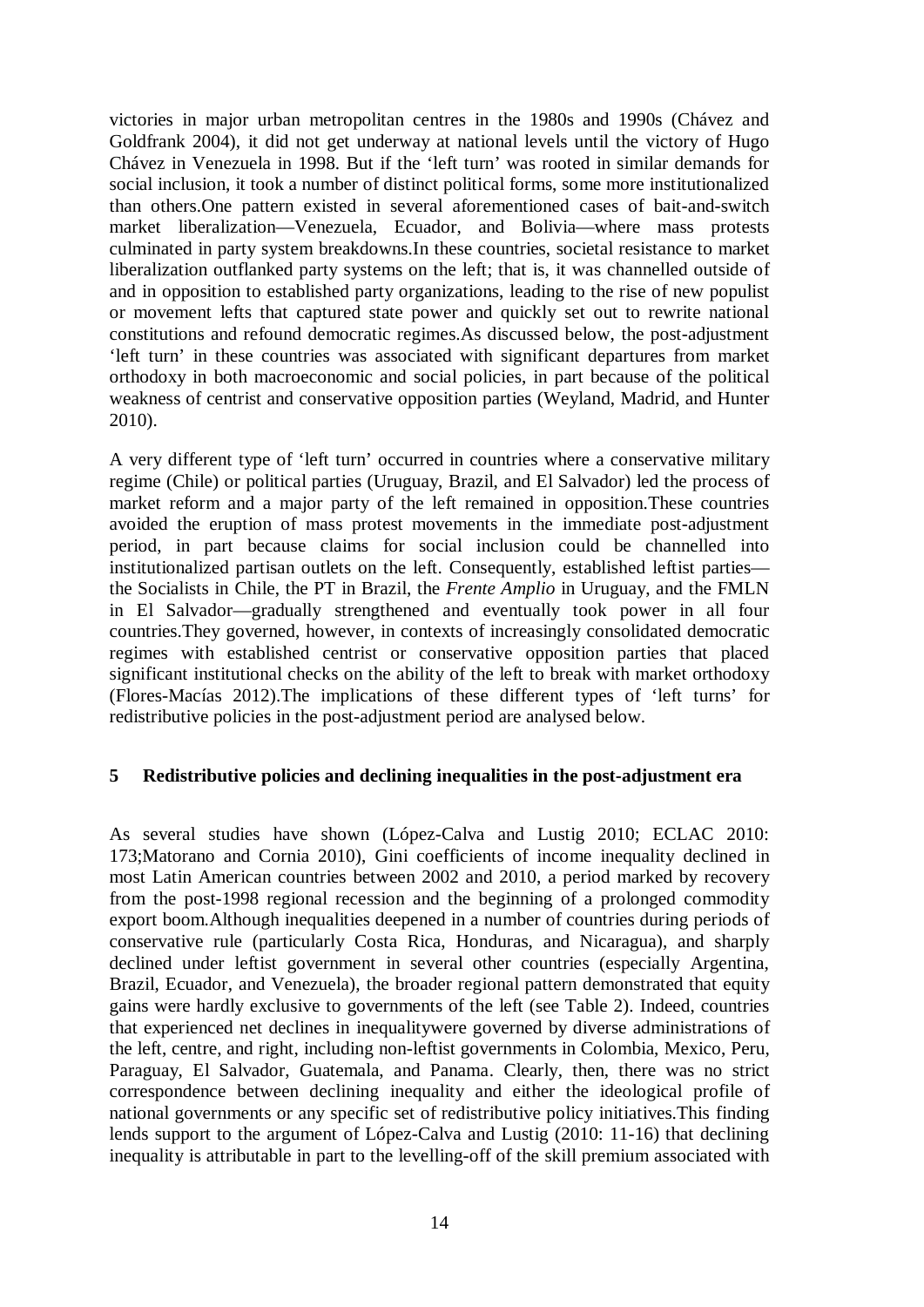victories in major urban metropolitan centres in the 1980s and 1990s (Chávez and Goldfrank 2004), it did not get underway at national levels until the victory of Hugo Chávez in Venezuela in 1998. But if the 'left turn' was rooted in similar demands for social inclusion, it took a number of distinct political forms, some more institutionalized than others.One pattern existed in several aforementioned cases of bait-and-switch market liberalization—Venezuela, Ecuador, and Bolivia—where mass protests culminated in party system breakdowns.In these countries, societal resistance to market liberalization outflanked party systems on the left; that is, it was channelled outside of and in opposition to established party organizations, leading to the rise of new populist or movement lefts that captured state power and quickly set out to rewrite national constitutions and refound democratic regimes.As discussed below, the post-adjustment 'left turn' in these countries was associated with significant departures from market orthodoxy in both macroeconomic and social policies, in part because of the political weakness of centrist and conservative opposition parties (Weyland, Madrid, and Hunter 2010).

A very different type of 'left turn' occurred in countries where a conservative military regime (Chile) or political parties (Uruguay, Brazil, and El Salvador) led the process of market reform and a major party of the left remained in opposition.These countries avoided the eruption of mass protest movements in the immediate post-adjustment period, in part because claims for social inclusion could be channelled into institutionalized partisan outlets on the left. Consequently, established leftist parties the Socialists in Chile, the PT in Brazil, the *Frente Amplio* in Uruguay, and the FMLN in El Salvador—gradually strengthened and eventually took power in all four countries.They governed, however, in contexts of increasingly consolidated democratic regimes with established centrist or conservative opposition parties that placed significant institutional checks on the ability of the left to break with market orthodoxy (Flores-Macías 2012).The implications of these different types of 'left turns' for redistributive policies in the post-adjustment period are analysed below.

#### **5 Redistributive policies and declining inequalities in the post-adjustment era**

As several studies have shown (López-Calva and Lustig 2010; ECLAC 2010: 173;Matorano and Cornia 2010), Gini coefficients of income inequality declined in most Latin American countries between 2002 and 2010, a period marked by recovery from the post-1998 regional recession and the beginning of a prolonged commodity export boom.Although inequalities deepened in a number of countries during periods of conservative rule (particularly Costa Rica, Honduras, and Nicaragua), and sharply declined under leftist government in several other countries (especially Argentina, Brazil, Ecuador, and Venezuela), the broader regional pattern demonstrated that equity gains were hardly exclusive to governments of the left (see Table 2). Indeed, countries that experienced net declines in inequalitywere governed by diverse administrations of the left, centre, and right, including non-leftist governments in Colombia, Mexico, Peru, Paraguay, El Salvador, Guatemala, and Panama. Clearly, then, there was no strict correspondence between declining inequality and either the ideological profile of national governments or any specific set of redistributive policy initiatives.This finding lends support to the argument of López-Calva and Lustig (2010: 11-16) that declining inequality is attributable in part to the levelling-off of the skill premium associated with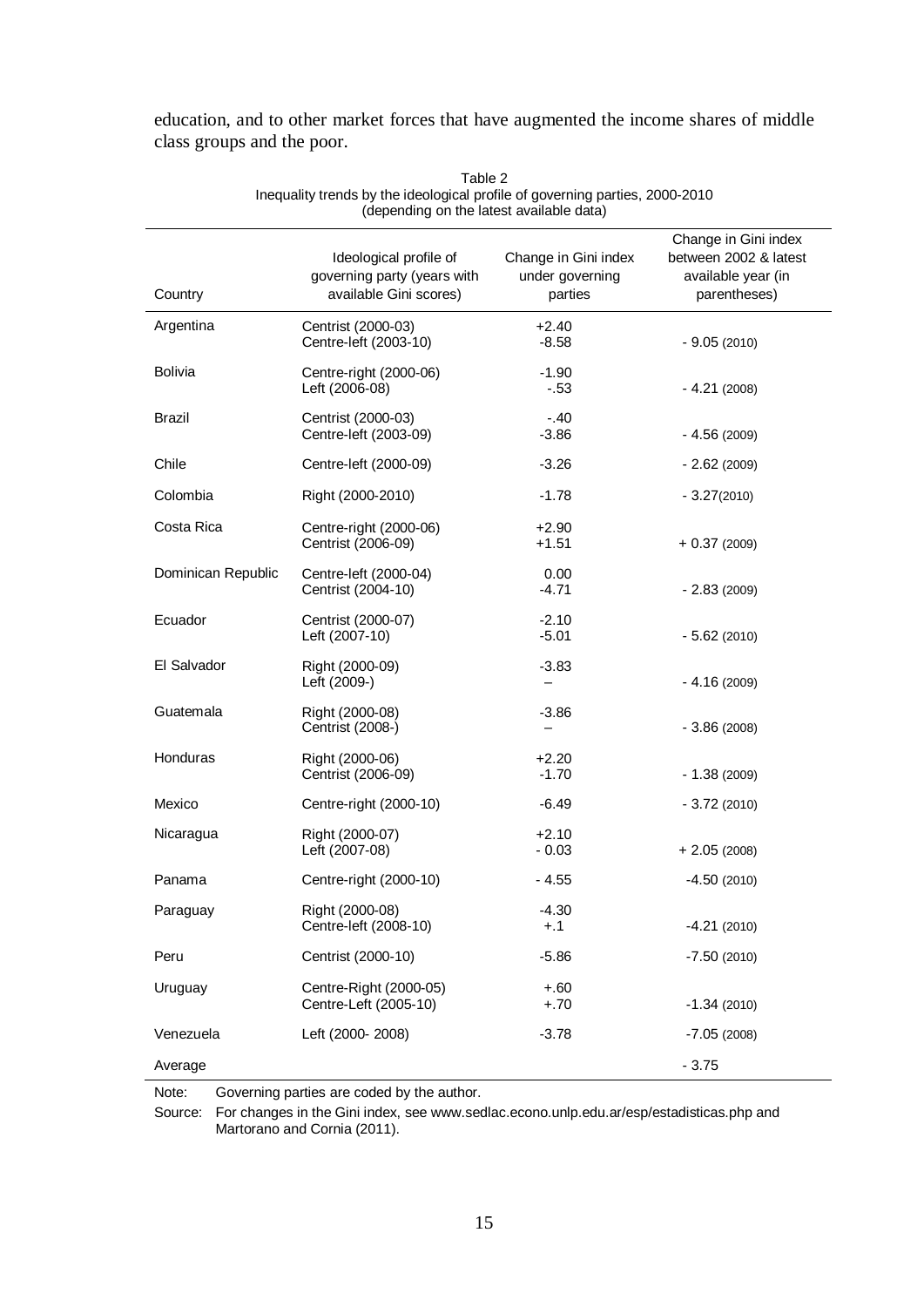| (depending on the latest available data) |                                                                                 |                                                    |                                                                                     |  |  |
|------------------------------------------|---------------------------------------------------------------------------------|----------------------------------------------------|-------------------------------------------------------------------------------------|--|--|
| Country                                  | Ideological profile of<br>governing party (years with<br>available Gini scores) | Change in Gini index<br>under governing<br>parties | Change in Gini index<br>between 2002 & latest<br>available year (in<br>parentheses) |  |  |
| Argentina                                | Centrist (2000-03)<br>Centre-left (2003-10)                                     | $+2.40$<br>$-8.58$                                 | $-9.05(2010)$                                                                       |  |  |
| <b>Bolivia</b>                           | Centre-right (2000-06)<br>Left (2006-08)                                        | $-1.90$<br>$-.53$                                  | $-4.21(2008)$                                                                       |  |  |
| <b>Brazil</b>                            | Centrist (2000-03)<br>Centre-left (2003-09)                                     | $-.40$<br>$-3.86$                                  | $-4.56(2009)$                                                                       |  |  |
| Chile                                    | Centre-left (2000-09)                                                           | $-3.26$                                            | $-2.62(2009)$                                                                       |  |  |
| Colombia                                 | Right (2000-2010)                                                               | $-1.78$                                            | $-3.27(2010)$                                                                       |  |  |
| Costa Rica                               | Centre-right (2000-06)<br>Centrist (2006-09)                                    | $+2.90$<br>$+1.51$                                 | $+0.37(2009)$                                                                       |  |  |
| Dominican Republic                       | Centre-left (2000-04)<br>Centrist (2004-10)                                     | 0.00<br>$-4.71$                                    | $-2.83(2009)$                                                                       |  |  |
| Ecuador                                  | Centrist (2000-07)<br>Left (2007-10)                                            | $-2.10$<br>$-5.01$                                 | $-5.62(2010)$                                                                       |  |  |
| El Salvador                              | Right (2000-09)<br>Left (2009-)                                                 | $-3.83$<br>-                                       | $-4.16(2009)$                                                                       |  |  |
| Guatemala                                | Right (2000-08)<br>Centrist (2008-)                                             | $-3.86$<br>—                                       | $-3.86(2008)$                                                                       |  |  |
| Honduras                                 | Right (2000-06)<br>Centrist (2006-09)                                           | $+2.20$<br>$-1.70$                                 | $-1.38(2009)$                                                                       |  |  |
| Mexico                                   | Centre-right (2000-10)                                                          | $-6.49$                                            | $-3.72(2010)$                                                                       |  |  |
| Nicaragua                                | Right (2000-07)<br>Left (2007-08)                                               | $+2.10$<br>$-0.03$                                 | $+ 2.05(2008)$                                                                      |  |  |
| Panama                                   | Centre-right (2000-10)                                                          | $-4.55$                                            | $-4.50(2010)$                                                                       |  |  |
| Paraguay                                 | Right (2000-08)<br>Centre-left (2008-10)                                        | $-4.30$<br>$+.1$                                   | $-4.21(2010)$                                                                       |  |  |
| Peru                                     | Centrist (2000-10)                                                              | $-5.86$                                            | $-7.50(2010)$                                                                       |  |  |
| Uruguay                                  | Centre-Right (2000-05)<br>Centre-Left (2005-10)                                 | $+.60$<br>$+.70$                                   | $-1.34(2010)$                                                                       |  |  |
| Venezuela                                | Left (2000-2008)                                                                | $-3.78$                                            | $-7.05(2008)$                                                                       |  |  |
| Average                                  |                                                                                 |                                                    | $-3.75$                                                                             |  |  |

education, and to other market forces that have augmented the income shares of middle class groups and the poor.

> Table 2 Inequality trends by the ideological profile of governing parties, 2000-2010

Note: Governing parties are coded by the author.

Source: For changes in the Gini index, see www.sedlac.econo.unlp.edu.ar/esp/estadisticas.php and Martorano and Cornia (2011).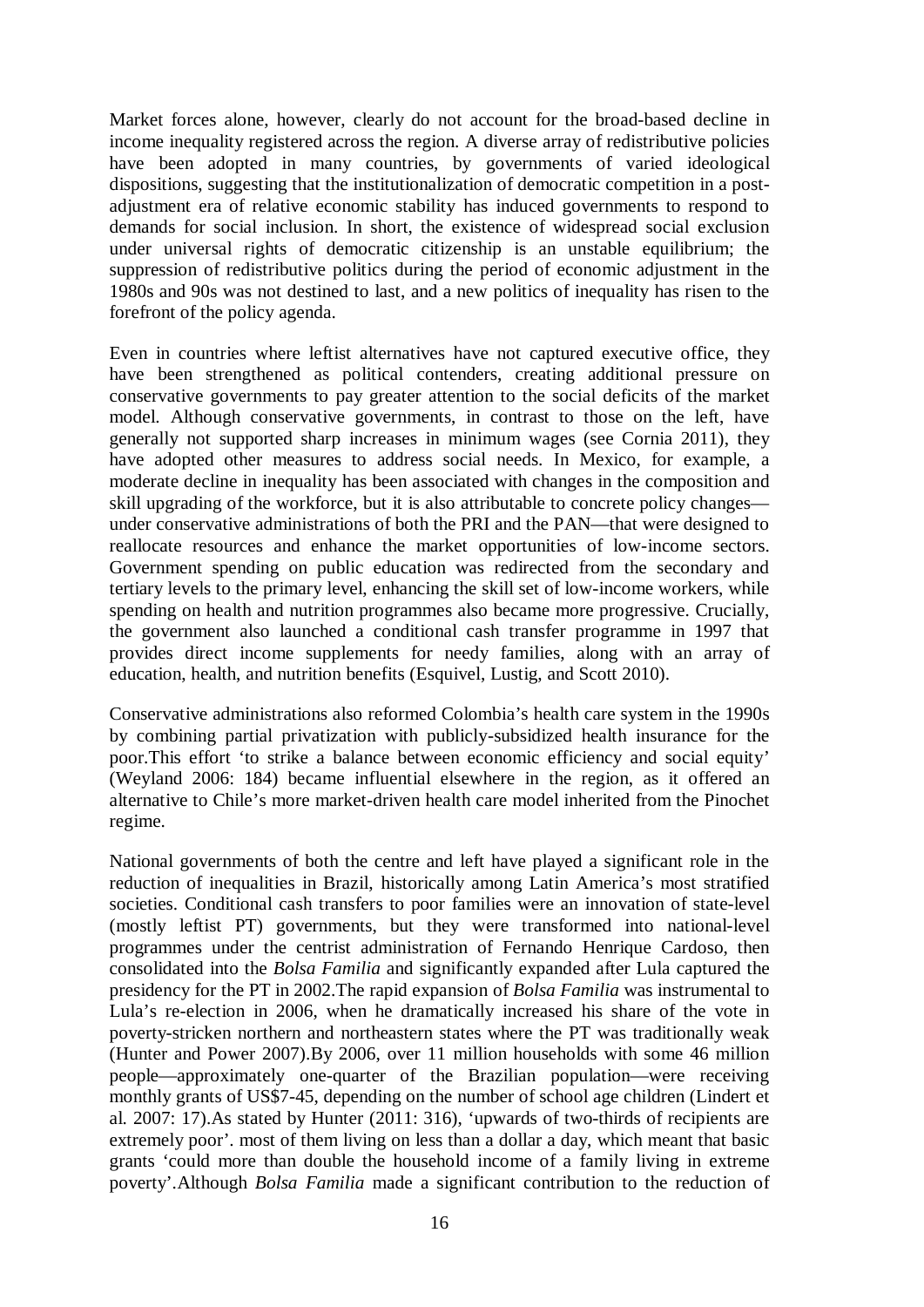Market forces alone, however, clearly do not account for the broad-based decline in income inequality registered across the region. A diverse array of redistributive policies have been adopted in many countries, by governments of varied ideological dispositions, suggesting that the institutionalization of democratic competition in a postadjustment era of relative economic stability has induced governments to respond to demands for social inclusion. In short, the existence of widespread social exclusion under universal rights of democratic citizenship is an unstable equilibrium; the suppression of redistributive politics during the period of economic adjustment in the 1980s and 90s was not destined to last, and a new politics of inequality has risen to the forefront of the policy agenda.

Even in countries where leftist alternatives have not captured executive office, they have been strengthened as political contenders, creating additional pressure on conservative governments to pay greater attention to the social deficits of the market model. Although conservative governments, in contrast to those on the left, have generally not supported sharp increases in minimum wages (see Cornia 2011), they have adopted other measures to address social needs. In Mexico, for example, a moderate decline in inequality has been associated with changes in the composition and skill upgrading of the workforce, but it is also attributable to concrete policy changes under conservative administrations of both the PRI and the PAN—that were designed to reallocate resources and enhance the market opportunities of low-income sectors. Government spending on public education was redirected from the secondary and tertiary levels to the primary level, enhancing the skill set of low-income workers, while spending on health and nutrition programmes also became more progressive. Crucially, the government also launched a conditional cash transfer programme in 1997 that provides direct income supplements for needy families, along with an array of education, health, and nutrition benefits (Esquivel, Lustig, and Scott 2010).

Conservative administrations also reformed Colombia's health care system in the 1990s by combining partial privatization with publicly-subsidized health insurance for the poor.This effort 'to strike a balance between economic efficiency and social equity' (Weyland 2006: 184) became influential elsewhere in the region, as it offered an alternative to Chile's more market-driven health care model inherited from the Pinochet regime.

National governments of both the centre and left have played a significant role in the reduction of inequalities in Brazil, historically among Latin America's most stratified societies. Conditional cash transfers to poor families were an innovation of state-level (mostly leftist PT) governments, but they were transformed into national-level programmes under the centrist administration of Fernando Henrique Cardoso, then consolidated into the *Bolsa Familia* and significantly expanded after Lula captured the presidency for the PT in 2002.The rapid expansion of *Bolsa Familia* was instrumental to Lula's re-election in 2006, when he dramatically increased his share of the vote in poverty-stricken northern and northeastern states where the PT was traditionally weak (Hunter and Power 2007).By 2006, over 11 million households with some 46 million people—approximately one-quarter of the Brazilian population—were receiving monthly grants of US\$7-45, depending on the number of school age children (Lindert et al. 2007: 17).As stated by Hunter (2011: 316), 'upwards of two-thirds of recipients are extremely poor'. most of them living on less than a dollar a day, which meant that basic grants 'could more than double the household income of a family living in extreme poverty'.Although *Bolsa Familia* made a significant contribution to the reduction of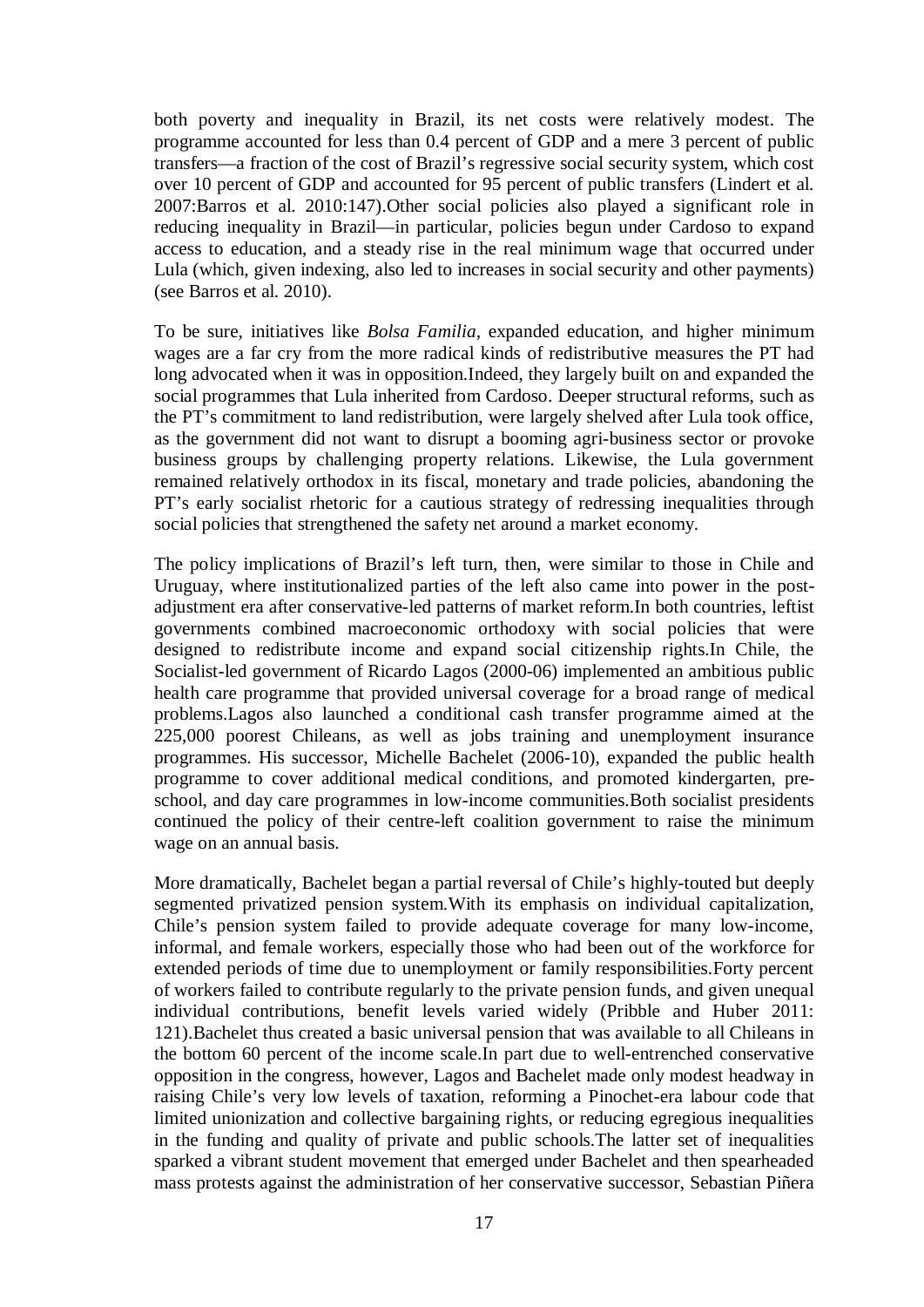both poverty and inequality in Brazil, its net costs were relatively modest. The programme accounted for less than 0.4 percent of GDP and a mere 3 percent of public transfers—a fraction of the cost of Brazil's regressive social security system, which cost over 10 percent of GDP and accounted for 95 percent of public transfers (Lindert et al. 2007:Barros et al. 2010:147).Other social policies also played a significant role in reducing inequality in Brazil—in particular, policies begun under Cardoso to expand access to education, and a steady rise in the real minimum wage that occurred under Lula (which, given indexing, also led to increases in social security and other payments) (see Barros et al. 2010).

To be sure, initiatives like *Bolsa Familia,* expanded education, and higher minimum wages are a far cry from the more radical kinds of redistributive measures the PT had long advocated when it was in opposition.Indeed, they largely built on and expanded the social programmes that Lula inherited from Cardoso. Deeper structural reforms, such as the PT's commitment to land redistribution, were largely shelved after Lula took office, as the government did not want to disrupt a booming agri-business sector or provoke business groups by challenging property relations. Likewise, the Lula government remained relatively orthodox in its fiscal, monetary and trade policies, abandoning the PT's early socialist rhetoric for a cautious strategy of redressing inequalities through social policies that strengthened the safety net around a market economy.

The policy implications of Brazil's left turn, then, were similar to those in Chile and Uruguay, where institutionalized parties of the left also came into power in the postadjustment era after conservative-led patterns of market reform.In both countries, leftist governments combined macroeconomic orthodoxy with social policies that were designed to redistribute income and expand social citizenship rights.In Chile, the Socialist-led government of Ricardo Lagos (2000-06) implemented an ambitious public health care programme that provided universal coverage for a broad range of medical problems.Lagos also launched a conditional cash transfer programme aimed at the 225,000 poorest Chileans, as well as jobs training and unemployment insurance programmes. His successor, Michelle Bachelet (2006-10), expanded the public health programme to cover additional medical conditions, and promoted kindergarten, preschool, and day care programmes in low-income communities.Both socialist presidents continued the policy of their centre-left coalition government to raise the minimum wage on an annual basis.

More dramatically, Bachelet began a partial reversal of Chile's highly-touted but deeply segmented privatized pension system.With its emphasis on individual capitalization, Chile's pension system failed to provide adequate coverage for many low-income, informal, and female workers, especially those who had been out of the workforce for extended periods of time due to unemployment or family responsibilities.Forty percent of workers failed to contribute regularly to the private pension funds, and given unequal individual contributions, benefit levels varied widely (Pribble and Huber 2011: 121).Bachelet thus created a basic universal pension that was available to all Chileans in the bottom 60 percent of the income scale.In part due to well-entrenched conservative opposition in the congress, however, Lagos and Bachelet made only modest headway in raising Chile's very low levels of taxation, reforming a Pinochet-era labour code that limited unionization and collective bargaining rights, or reducing egregious inequalities in the funding and quality of private and public schools.The latter set of inequalities sparked a vibrant student movement that emerged under Bachelet and then spearheaded mass protests against the administration of her conservative successor, Sebastian Piñera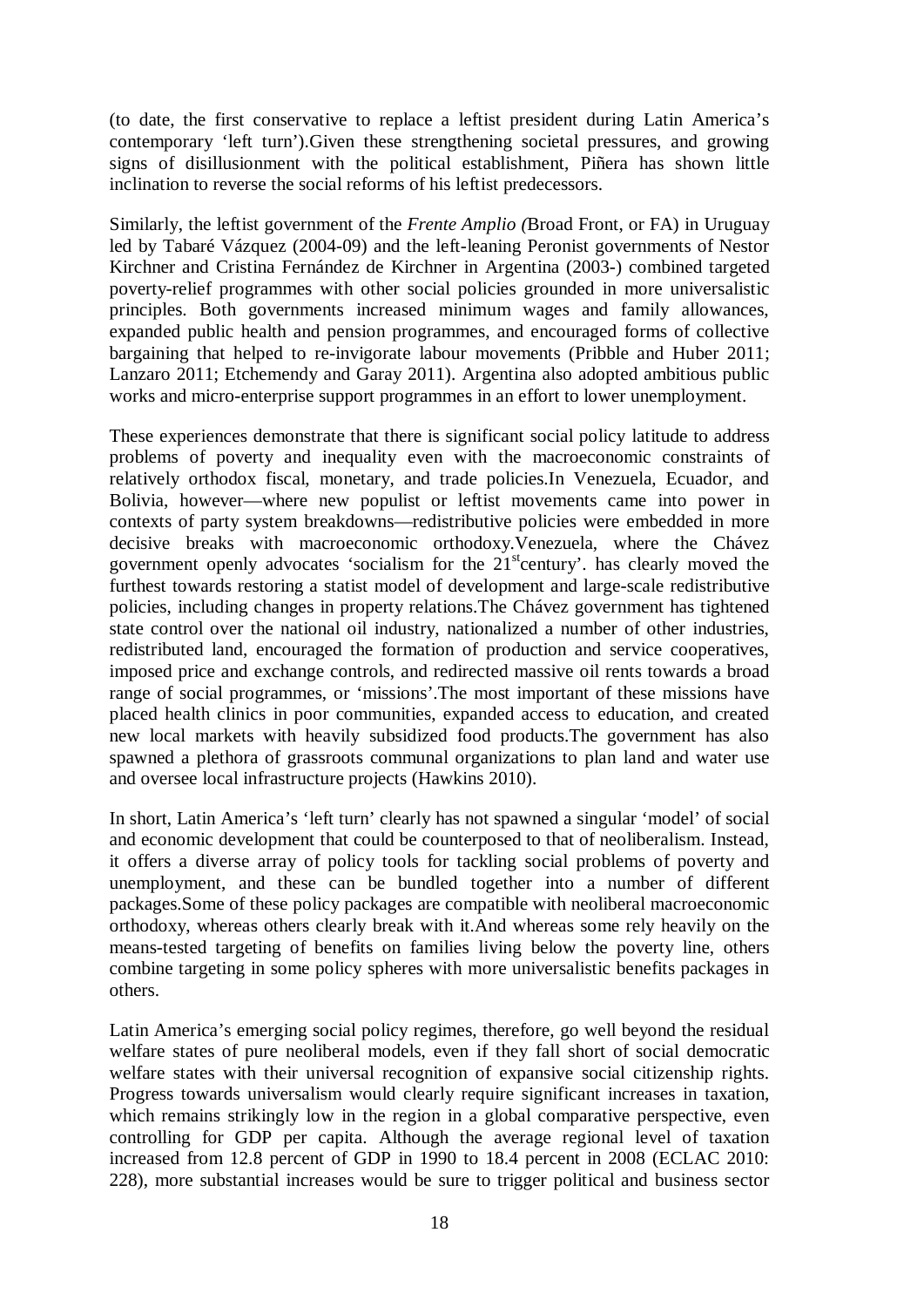(to date, the first conservative to replace a leftist president during Latin America's contemporary 'left turn').Given these strengthening societal pressures, and growing signs of disillusionment with the political establishment, Piñera has shown little inclination to reverse the social reforms of his leftist predecessors.

Similarly, the leftist government of the *Frente Amplio (*Broad Front, or FA) in Uruguay led by Tabaré Vázquez (2004-09) and the left-leaning Peronist governments of Nestor Kirchner and Cristina Fernández de Kirchner in Argentina (2003-) combined targeted poverty-relief programmes with other social policies grounded in more universalistic principles. Both governments increased minimum wages and family allowances, expanded public health and pension programmes, and encouraged forms of collective bargaining that helped to re-invigorate labour movements (Pribble and Huber 2011; Lanzaro 2011; Etchemendy and Garay 2011). Argentina also adopted ambitious public works and micro-enterprise support programmes in an effort to lower unemployment.

These experiences demonstrate that there is significant social policy latitude to address problems of poverty and inequality even with the macroeconomic constraints of relatively orthodox fiscal, monetary, and trade policies.In Venezuela, Ecuador, and Bolivia, however—where new populist or leftist movements came into power in contexts of party system breakdowns—redistributive policies were embedded in more decisive breaks with macroeconomic orthodoxy.Venezuela, where the Chávez government openly advocates 'socialism for the  $21<sup>st</sup>$ century'. has clearly moved the furthest towards restoring a statist model of development and large-scale redistributive policies, including changes in property relations.The Chávez government has tightened state control over the national oil industry, nationalized a number of other industries, redistributed land, encouraged the formation of production and service cooperatives, imposed price and exchange controls, and redirected massive oil rents towards a broad range of social programmes, or 'missions'.The most important of these missions have placed health clinics in poor communities, expanded access to education, and created new local markets with heavily subsidized food products.The government has also spawned a plethora of grassroots communal organizations to plan land and water use and oversee local infrastructure projects (Hawkins 2010).

In short, Latin America's 'left turn' clearly has not spawned a singular 'model' of social and economic development that could be counterposed to that of neoliberalism. Instead, it offers a diverse array of policy tools for tackling social problems of poverty and unemployment, and these can be bundled together into a number of different packages.Some of these policy packages are compatible with neoliberal macroeconomic orthodoxy, whereas others clearly break with it.And whereas some rely heavily on the means-tested targeting of benefits on families living below the poverty line, others combine targeting in some policy spheres with more universalistic benefits packages in others.

Latin America's emerging social policy regimes, therefore, go well beyond the residual welfare states of pure neoliberal models, even if they fall short of social democratic welfare states with their universal recognition of expansive social citizenship rights. Progress towards universalism would clearly require significant increases in taxation, which remains strikingly low in the region in a global comparative perspective, even controlling for GDP per capita. Although the average regional level of taxation increased from 12.8 percent of GDP in 1990 to 18.4 percent in 2008 (ECLAC 2010: 228), more substantial increases would be sure to trigger political and business sector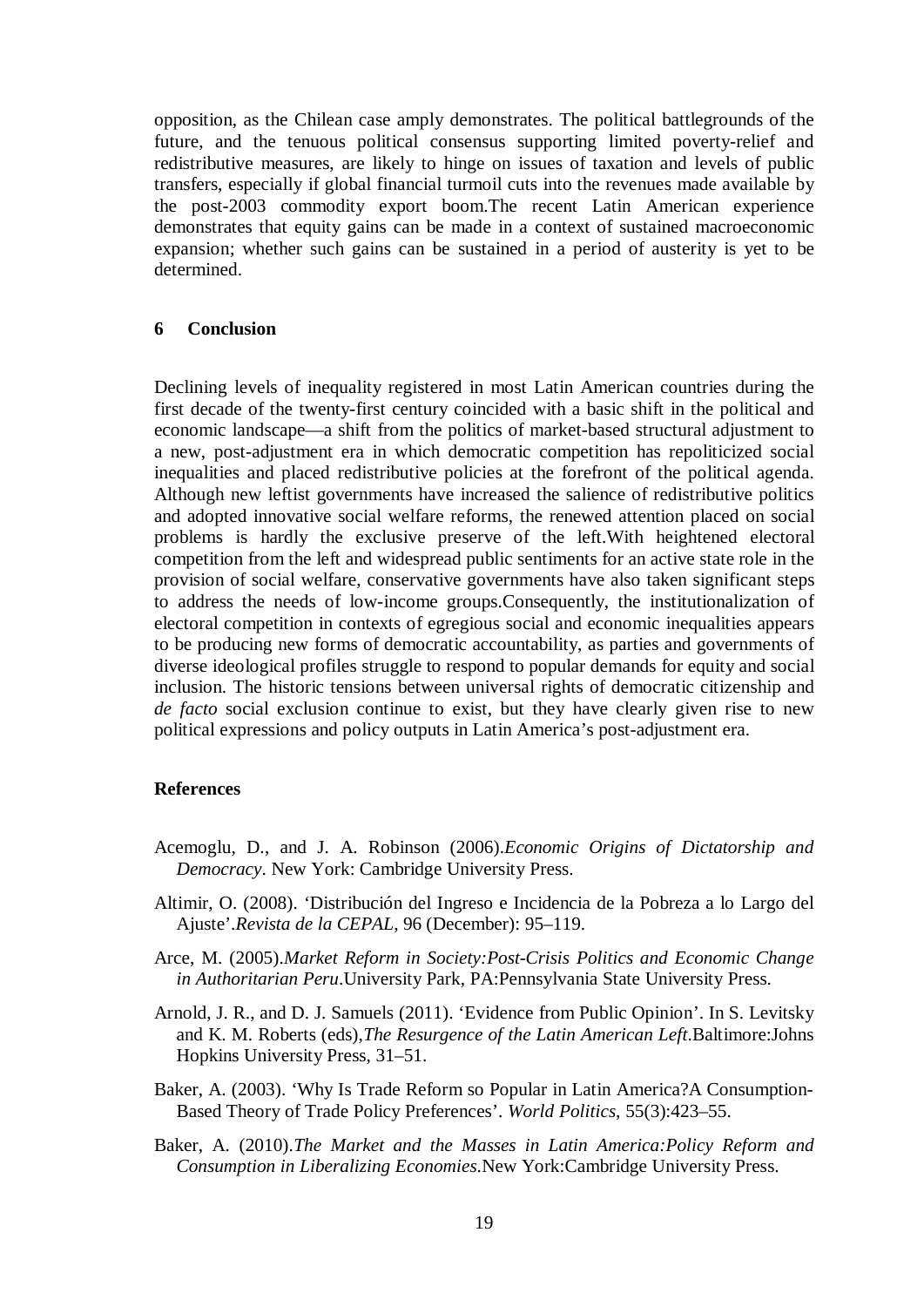opposition, as the Chilean case amply demonstrates. The political battlegrounds of the future, and the tenuous political consensus supporting limited poverty-relief and redistributive measures, are likely to hinge on issues of taxation and levels of public transfers, especially if global financial turmoil cuts into the revenues made available by the post-2003 commodity export boom.The recent Latin American experience demonstrates that equity gains can be made in a context of sustained macroeconomic expansion; whether such gains can be sustained in a period of austerity is yet to be determined.

#### **6 Conclusion**

Declining levels of inequality registered in most Latin American countries during the first decade of the twenty-first century coincided with a basic shift in the political and economic landscape—a shift from the politics of market-based structural adjustment to a new, post-adjustment era in which democratic competition has repoliticized social inequalities and placed redistributive policies at the forefront of the political agenda. Although new leftist governments have increased the salience of redistributive politics and adopted innovative social welfare reforms, the renewed attention placed on social problems is hardly the exclusive preserve of the left.With heightened electoral competition from the left and widespread public sentiments for an active state role in the provision of social welfare, conservative governments have also taken significant steps to address the needs of low-income groups.Consequently, the institutionalization of electoral competition in contexts of egregious social and economic inequalities appears to be producing new forms of democratic accountability, as parties and governments of diverse ideological profiles struggle to respond to popular demands for equity and social inclusion. The historic tensions between universal rights of democratic citizenship and *de facto* social exclusion continue to exist, but they have clearly given rise to new political expressions and policy outputs in Latin America's post-adjustment era.

#### **References**

- Acemoglu, D., and J. A. Robinson (2006).*Economic Origins of Dictatorship and Democracy*. New York: Cambridge University Press.
- Altimir, O. (2008). 'Distribución del Ingreso e Incidencia de la Pobreza a lo Largo del Ajuste'.*Revista de la CEPAL*, 96 (December): 95–119.
- Arce, M. (2005).*Market Reform in Society:Post-Crisis Politics and Economic Change in Authoritarian Peru*.University Park, PA:Pennsylvania State University Press.
- Arnold, J. R., and D. J. Samuels (2011). 'Evidence from Public Opinion'. In S. Levitsky and K. M. Roberts (eds),*The Resurgence of the Latin American Left*.Baltimore:Johns Hopkins University Press, 31–51.
- Baker, A. (2003). 'Why Is Trade Reform so Popular in Latin America?A Consumption-Based Theory of Trade Policy Preferences'. *World Politics*, 55(3):423–55.
- Baker, A. (2010).*The Market and the Masses in Latin America:Policy Reform and Consumption in Liberalizing Economies*.New York:Cambridge University Press.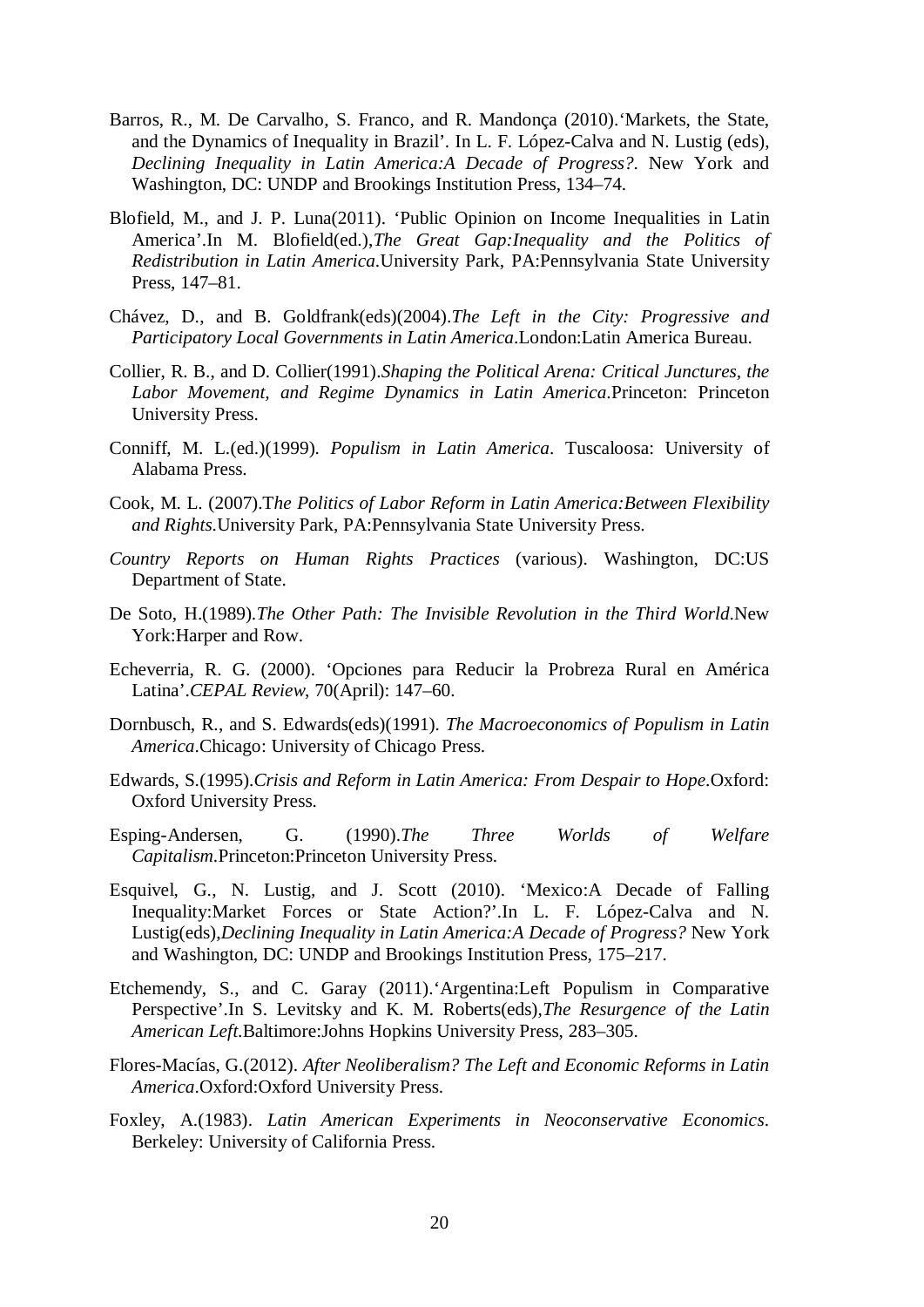- Barros, R., M. De Carvalho, S. Franco, and R. Mandonça (2010).'Markets, the State, and the Dynamics of Inequality in Brazil'. In L. F. López-Calva and N. Lustig (eds), *Declining Inequality in Latin America:A Decade of Progress?*. New York and Washington, DC: UNDP and Brookings Institution Press, 134–74.
- Blofield, M., and J. P. Luna(2011). 'Public Opinion on Income Inequalities in Latin America'.In M. Blofield(ed.),*The Great Gap:Inequality and the Politics of Redistribution in Latin America*.University Park, PA:Pennsylvania State University Press, 147–81.
- Chávez, D., and B. Goldfrank(eds)(2004).*The Left in the City: Progressive and Participatory Local Governments in Latin America*.London:Latin America Bureau.
- Collier, R. B., and D. Collier(1991).*Shaping the Political Arena: Critical Junctures, the Labor Movement, and Regime Dynamics in Latin America*.Princeton: Princeton University Press.
- Conniff, M. L.(ed.)(1999). *Populism in Latin America*. Tuscaloosa: University of Alabama Press.
- Cook, M. L. (2007).T*he Politics of Labor Reform in Latin America:Between Flexibility and Rights*.University Park, PA:Pennsylvania State University Press.
- *Country Reports on Human Rights Practices* (various). Washington, DC:US Department of State.
- De Soto, H.(1989).*The Other Path: The Invisible Revolution in the Third World*.New York:Harper and Row.
- Echeverria, R. G. (2000). 'Opciones para Reducir la Probreza Rural en América Latina'.*CEPAL Review*, 70(April): 147–60.
- Dornbusch, R., and S. Edwards(eds)(1991). *The Macroeconomics of Populism in Latin America*.Chicago: University of Chicago Press.
- Edwards, S.(1995).*Crisis and Reform in Latin America: From Despair to Hope*.Oxford: Oxford University Press.
- Esping-Andersen, G. (1990).*The Three Worlds of Welfare Capitalism*.Princeton:Princeton University Press.
- Esquivel, G., N. Lustig, and J. Scott (2010). 'Mexico:A Decade of Falling Inequality:Market Forces or State Action?'.In L. F. López-Calva and N. Lustig(eds),*Declining Inequality in Latin America:A Decade of Progress?* New York and Washington, DC: UNDP and Brookings Institution Press, 175–217.
- Etchemendy, S., and C. Garay (2011).'Argentina:Left Populism in Comparative Perspective'.In S. Levitsky and K. M. Roberts(eds),*The Resurgence of the Latin American Left*.Baltimore:Johns Hopkins University Press, 283–305.
- Flores-Macías, G.(2012). *After Neoliberalism? The Left and Economic Reforms in Latin America*.Oxford:Oxford University Press.
- Foxley, A.(1983). *Latin American Experiments in Neoconservative Economics*. Berkeley: University of California Press.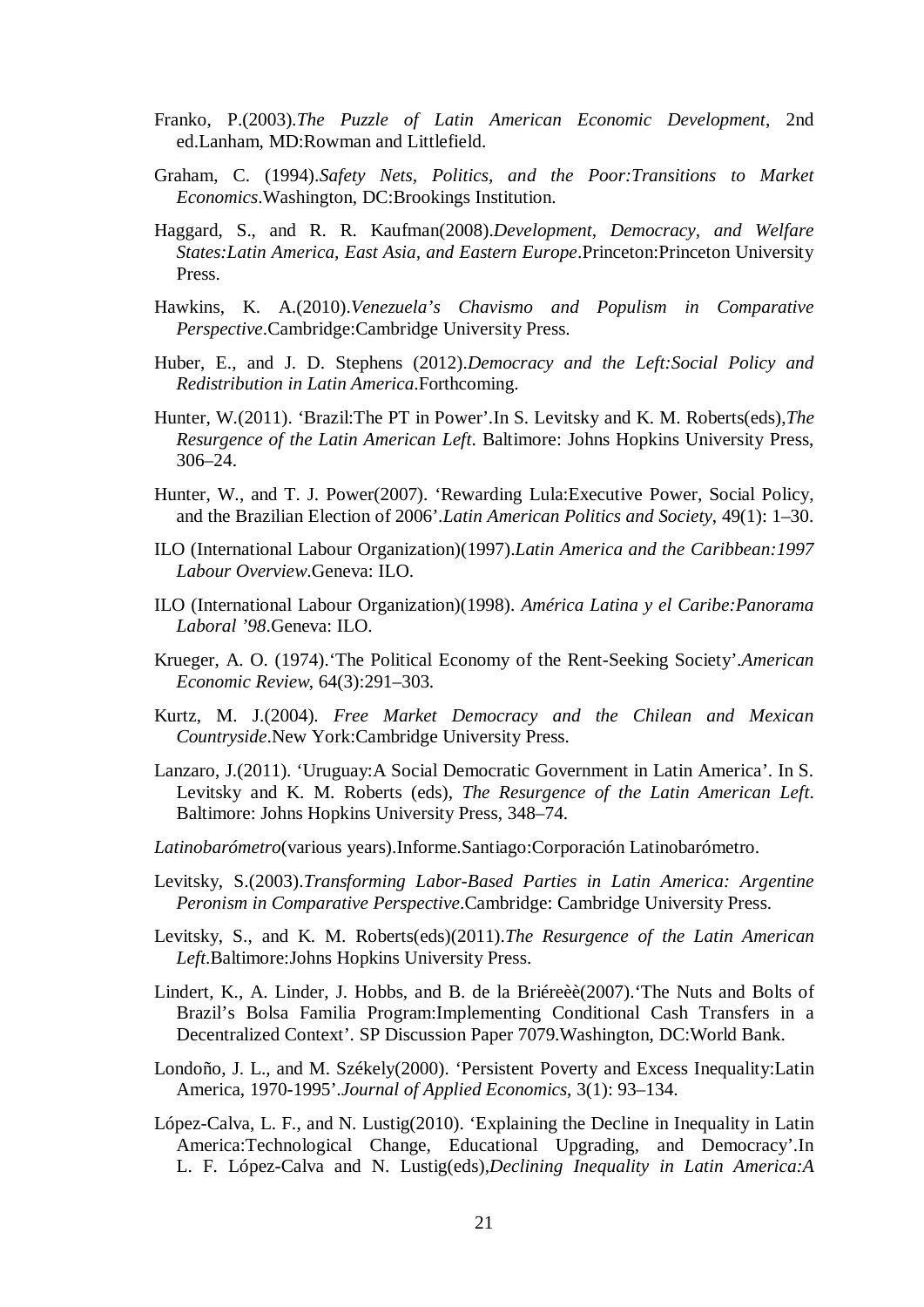- Franko, P.(2003).*The Puzzle of Latin American Economic Development*, 2nd ed.Lanham, MD:Rowman and Littlefield.
- Graham, C. (1994).*Safety Nets, Politics, and the Poor:Transitions to Market Economics*.Washington, DC:Brookings Institution.
- Haggard, S., and R. R. Kaufman(2008).*Development, Democracy, and Welfare States:Latin America, East Asia, and Eastern Europe*.Princeton:Princeton University Press.
- Hawkins, K. A.(2010).*Venezuela's Chavismo and Populism in Comparative Perspective*.Cambridge:Cambridge University Press.
- Huber, E., and J. D. Stephens (2012).*Democracy and the Left:Social Policy and Redistribution in Latin America*.Forthcoming.
- Hunter, W.(2011). 'Brazil:The PT in Power'.In S. Levitsky and K. M. Roberts(eds),*The Resurgence of the Latin American Left*. Baltimore: Johns Hopkins University Press, 306–24.
- Hunter, W., and T. J. Power(2007). 'Rewarding Lula:Executive Power, Social Policy, and the Brazilian Election of 2006'.*Latin American Politics and Society*, 49(1): 1–30.
- ILO (International Labour Organization)(1997).*Latin America and the Caribbean:1997 Labour Overview*.Geneva: ILO.
- ILO (International Labour Organization)(1998). *América Latina y el Caribe:Panorama Laboral '98*.Geneva: ILO.
- Krueger, A. O. (1974).'The Political Economy of the Rent-Seeking Society'.*American Economic Review*, 64(3):291–303.
- Kurtz, M. J.(2004). *Free Market Democracy and the Chilean and Mexican Countryside*.New York:Cambridge University Press.
- Lanzaro, J.(2011). 'Uruguay:A Social Democratic Government in Latin America'. In S. Levitsky and K. M. Roberts (eds), *The Resurgence of the Latin American Left*. Baltimore: Johns Hopkins University Press, 348–74.
- *Latinobarómetro*(various years).Informe.Santiago:Corporación Latinobarómetro.
- Levitsky, S.(2003).*Transforming Labor-Based Parties in Latin America: Argentine Peronism in Comparative Perspective*.Cambridge: Cambridge University Press.
- Levitsky, S., and K. M. Roberts(eds)(2011).*The Resurgence of the Latin American Left*.Baltimore:Johns Hopkins University Press.
- Lindert, K., A. Linder, J. Hobbs, and B. de la Briéreèè(2007).'The Nuts and Bolts of Brazil's Bolsa Familia Program:Implementing Conditional Cash Transfers in a Decentralized Context'. SP Discussion Paper 7079.Washington, DC:World Bank.
- Londoño, J. L., and M. Székely(2000). 'Persistent Poverty and Excess Inequality:Latin America, 1970-1995'.*Journal of Applied Economics*, 3(1): 93–134.
- López-Calva, L. F., and N. Lustig(2010). 'Explaining the Decline in Inequality in Latin America:Technological Change, Educational Upgrading, and Democracy'.In L. F. López-Calva and N. Lustig(eds),*Declining Inequality in Latin America:A*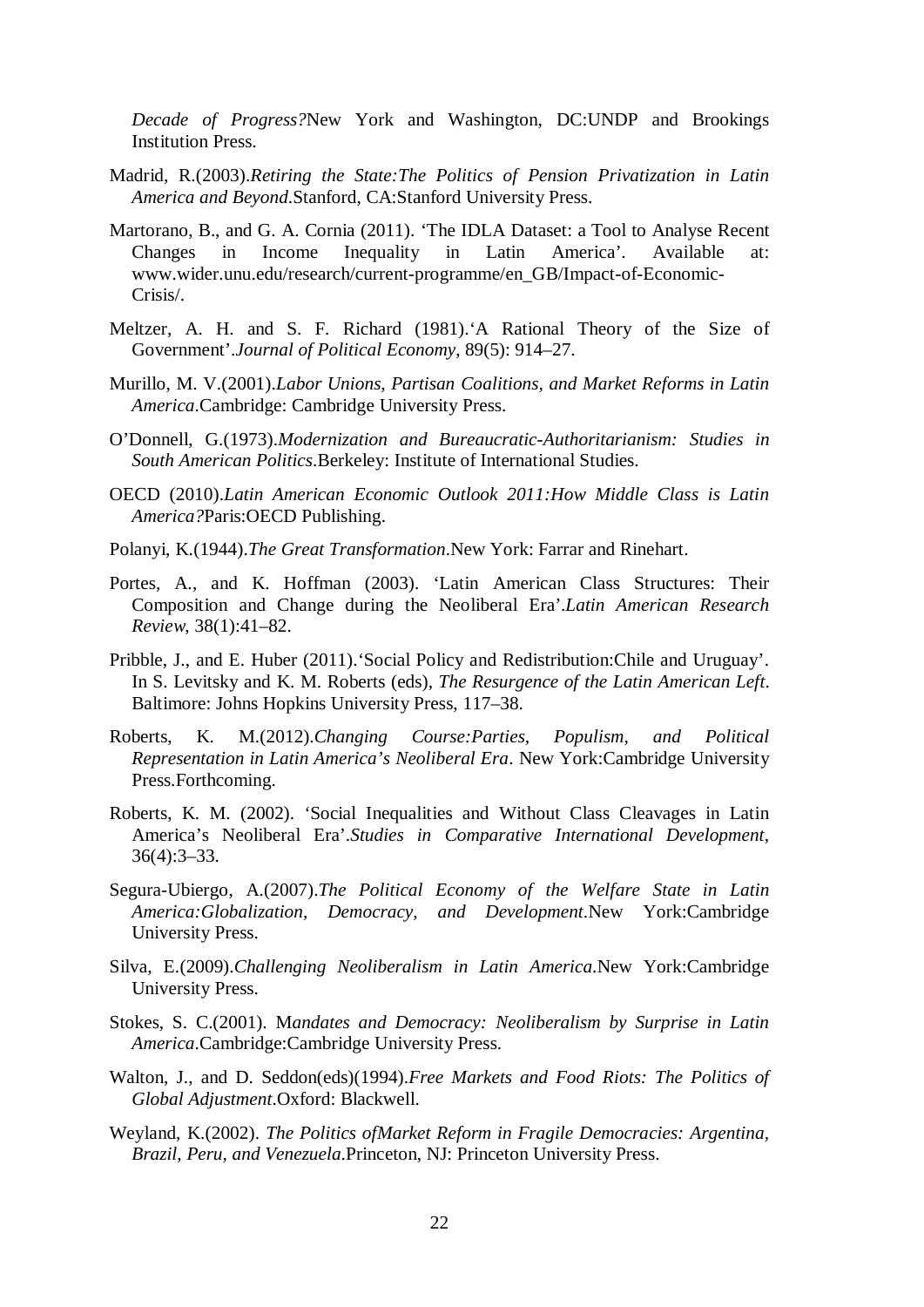*Decade of Progress?*New York and Washington, DC:UNDP and Brookings Institution Press.

- Madrid, R.(2003).*Retiring the State:The Politics of Pension Privatization in Latin America and Beyond*.Stanford, CA:Stanford University Press.
- Martorano, B., and G. A. Cornia (2011). 'The IDLA Dataset: a Tool to Analyse Recent Changes in Income Inequality in Latin America'. Available at: www.wider.unu.edu/research/current-programme/en\_GB/Impact-of-Economic-Crisis/.
- Meltzer, A. H. and S. F. Richard (1981).'A Rational Theory of the Size of Government'.*Journal of Political Economy*, 89(5): 914–27.
- Murillo, M. V.(2001).*Labor Unions, Partisan Coalitions, and Market Reforms in Latin America*.Cambridge: Cambridge University Press.
- O'Donnell, G.(1973).*Modernization and Bureaucratic-Authoritarianism: Studies in South American Politics*.Berkeley: Institute of International Studies.
- OECD (2010).*Latin American Economic Outlook 2011:How Middle Class is Latin America?*Paris:OECD Publishing.
- Polanyi, K.(1944).*The Great Transformation*.New York: Farrar and Rinehart.
- Portes, A., and K. Hoffman (2003). 'Latin American Class Structures: Their Composition and Change during the Neoliberal Era'.*Latin American Research Review*, 38(1):41–82.
- Pribble, J., and E. Huber (2011).'Social Policy and Redistribution:Chile and Uruguay'. In S. Levitsky and K. M. Roberts (eds), *The Resurgence of the Latin American Left*. Baltimore: Johns Hopkins University Press, 117–38.
- Roberts, K. M.(2012).*Changing Course:Parties, Populism, and Political Representation in Latin America's Neoliberal Era*. New York:Cambridge University Press.Forthcoming.
- Roberts, K. M. (2002). 'Social Inequalities and Without Class Cleavages in Latin America's Neoliberal Era'.*Studies in Comparative International Development*, 36(4):3–33.
- Segura-Ubiergo, A.(2007).*The Political Economy of the Welfare State in Latin America:Globalization, Democracy, and Development*.New York:Cambridge University Press.
- Silva, E.(2009).*Challenging Neoliberalism in Latin America*.New York:Cambridge University Press.
- Stokes, S. C.(2001). M*andates and Democracy: Neoliberalism by Surprise in Latin America*.Cambridge:Cambridge University Press.
- Walton, J., and D. Seddon(eds)(1994).*Free Markets and Food Riots: The Politics of Global Adjustment*.Oxford: Blackwell.
- Weyland, K.(2002). *The Politics ofMarket Reform in Fragile Democracies: Argentina, Brazil, Peru, and Venezuela*.Princeton, NJ: Princeton University Press.